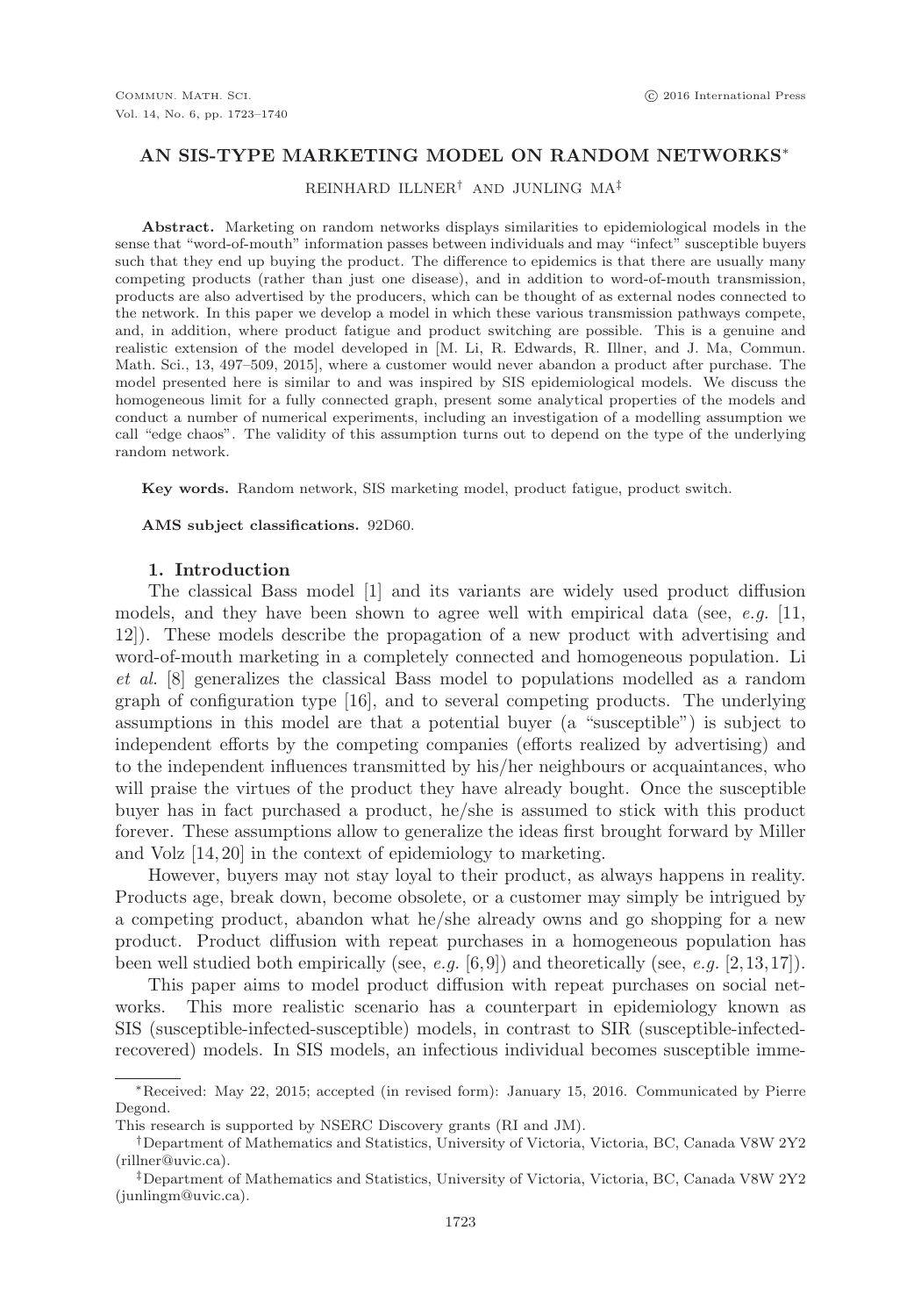### **AN SIS-TYPE MARKETING MODEL ON RANDOM NETWORKS**∗

REINHARD ILLNER† AND JUNLING MA‡

**Abstract.** Marketing on random networks displays similarities to epidemiological models in the sense that "word-of-mouth" information passes between individuals and may "infect" susceptible buyers such that they end up buying the product. The difference to epidemics is that there are usually many competing products (rather than just one disease), and in addition to word-of-mouth transmission, products are also advertised by the producers, which can be thought of as external nodes connected to the network. In this paper we develop a model in which these various transmission pathways compete, and, in addition, where product fatigue and product switching are possible. This is a genuine and realistic extension of the model developed in [M. Li, R. Edwards, R. Illner, and J. Ma, Commun. Math. Sci., 13, 497–509, 2015], where a customer would never abandon a product after purchase. The model presented here is similar to and was inspired by SIS epidemiological models. We discuss the homogeneous limit for a fully connected graph, present some analytical properties of the models and conduct a number of numerical experiments, including an investigation of a modelling assumption we call "edge chaos". The validity of this assumption turns out to depend on the type of the underlying random network.

**Key words.** Random network, SIS marketing model, product fatigue, product switch.

**AMS subject classifications.** 92D60.

### **1. Introduction**

The classical Bass model [1] and its variants are widely used product diffusion models, and they have been shown to agree well with empirical data (see, e.g.  $|11$ , 12]). These models describe the propagation of a new product with advertising and word-of-mouth marketing in a completely connected and homogeneous population. Li et al. [8] generalizes the classical Bass model to populations modelled as a random graph of configuration type [16], and to several competing products. The underlying assumptions in this model are that a potential buyer (a "susceptible") is subject to independent efforts by the competing companies (efforts realized by advertising) and to the independent influences transmitted by his/her neighbours or acquaintances, who will praise the virtues of the product they have already bought. Once the susceptible buyer has in fact purchased a product, he/she is assumed to stick with this product forever. These assumptions allow to generalize the ideas first brought forward by Miller and Volz [14, 20] in the context of epidemiology to marketing.

However, buyers may not stay loyal to their product, as always happens in reality. Products age, break down, become obsolete, or a customer may simply be intrigued by a competing product, abandon what he/she already owns and go shopping for a new product. Product diffusion with repeat purchases in a homogeneous population has been well studied both empirically (see, e.g.  $[6,9]$ ) and theoretically (see, e.g.  $[2,13,17]$ ).

This paper aims to model product diffusion with repeat purchases on social networks. This more realistic scenario has a counterpart in epidemiology known as SIS (susceptible-infected-susceptible) models, in contrast to SIR (susceptible-infectedrecovered) models. In SIS models, an infectious individual becomes susceptible imme-

<sup>∗</sup>Received: May 22, 2015; accepted (in revised form): January 15, 2016. Communicated by Pierre Degond.

This research is supported by NSERC Discovery grants (RI and JM).

<sup>†</sup>Department of Mathematics and Statistics, University of Victoria, Victoria, BC, Canada V8W 2Y2 (rillner@uvic.ca).

<sup>‡</sup>Department of Mathematics and Statistics, University of Victoria, Victoria, BC, Canada V8W 2Y2 (junlingm@uvic.ca).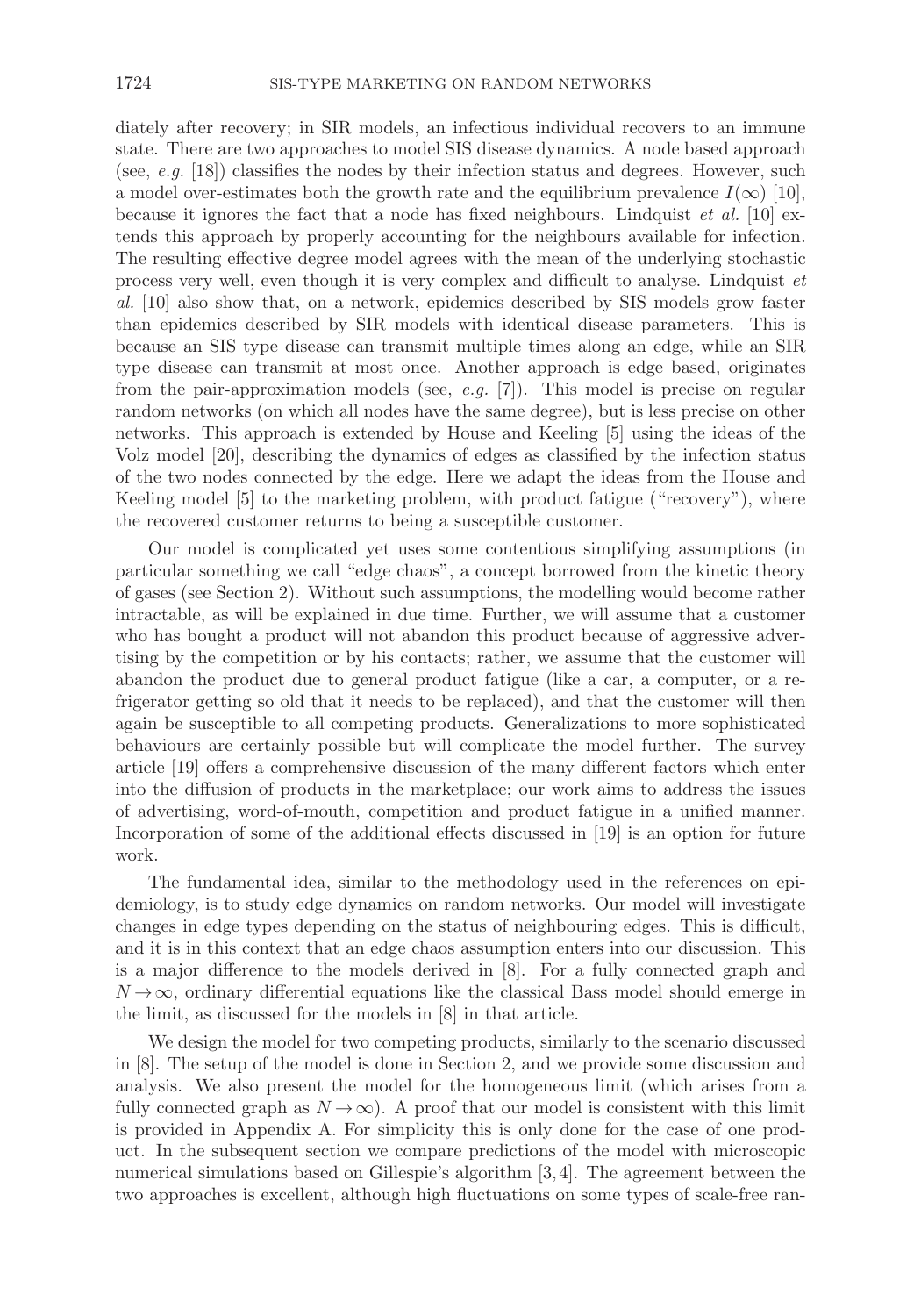diately after recovery; in SIR models, an infectious individual recovers to an immune state. There are two approaches to model SIS disease dynamics. A node based approach (see, e.g.  $[18]$ ) classifies the nodes by their infection status and degrees. However, such a model over-estimates both the growth rate and the equilibrium prevalence  $I(\infty)$  [10], because it ignores the fact that a node has fixed neighbours. Lindquist *et al.* [10] extends this approach by properly accounting for the neighbours available for infection. The resulting effective degree model agrees with the mean of the underlying stochastic process very well, even though it is very complex and difficult to analyse. Lindquist et al. [10] also show that, on a network, epidemics described by SIS models grow faster than epidemics described by SIR models with identical disease parameters. This is because an SIS type disease can transmit multiple times along an edge, while an SIR type disease can transmit at most once. Another approach is edge based, originates from the pair-approximation models (see, e.g.  $|7|$ ). This model is precise on regular random networks (on which all nodes have the same degree), but is less precise on other networks. This approach is extended by House and Keeling [5] using the ideas of the Volz model [20], describing the dynamics of edges as classified by the infection status of the two nodes connected by the edge. Here we adapt the ideas from the House and Keeling model [5] to the marketing problem, with product fatigue ("recovery"), where the recovered customer returns to being a susceptible customer.

Our model is complicated yet uses some contentious simplifying assumptions (in particular something we call "edge chaos", a concept borrowed from the kinetic theory of gases (see Section 2). Without such assumptions, the modelling would become rather intractable, as will be explained in due time. Further, we will assume that a customer who has bought a product will not abandon this product because of aggressive advertising by the competition or by his contacts; rather, we assume that the customer will abandon the product due to general product fatigue (like a car, a computer, or a refrigerator getting so old that it needs to be replaced), and that the customer will then again be susceptible to all competing products. Generalizations to more sophisticated behaviours are certainly possible but will complicate the model further. The survey article [19] offers a comprehensive discussion of the many different factors which enter into the diffusion of products in the marketplace; our work aims to address the issues of advertising, word-of-mouth, competition and product fatigue in a unified manner. Incorporation of some of the additional effects discussed in [19] is an option for future work.

The fundamental idea, similar to the methodology used in the references on epidemiology, is to study edge dynamics on random networks. Our model will investigate changes in edge types depending on the status of neighbouring edges. This is difficult, and it is in this context that an edge chaos assumption enters into our discussion. This is a major difference to the models derived in [8]. For a fully connected graph and  $N \rightarrow \infty$ , ordinary differential equations like the classical Bass model should emerge in the limit, as discussed for the models in [8] in that article.

We design the model for two competing products, similarly to the scenario discussed in [8]. The setup of the model is done in Section 2, and we provide some discussion and analysis. We also present the model for the homogeneous limit (which arises from a fully connected graph as  $N \to \infty$ ). A proof that our model is consistent with this limit is provided in Appendix A. For simplicity this is only done for the case of one product. In the subsequent section we compare predictions of the model with microscopic numerical simulations based on Gillespie's algorithm [3, 4]. The agreement between the two approaches is excellent, although high fluctuations on some types of scale-free ran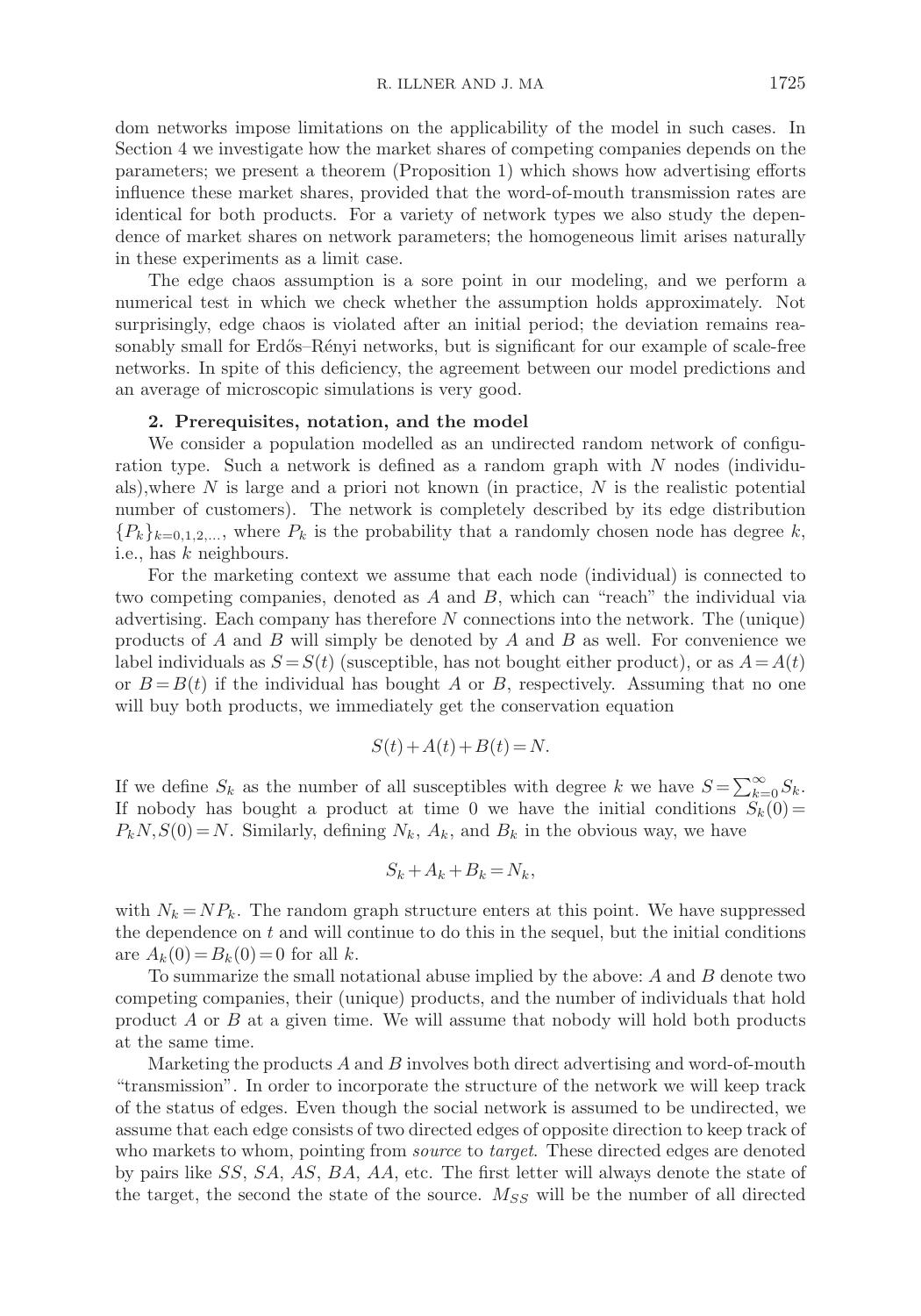dom networks impose limitations on the applicability of the model in such cases. In Section 4 we investigate how the market shares of competing companies depends on the parameters; we present a theorem (Proposition 1) which shows how advertising efforts influence these market shares, provided that the word-of-mouth transmission rates are identical for both products. For a variety of network types we also study the dependence of market shares on network parameters; the homogeneous limit arises naturally in these experiments as a limit case.

The edge chaos assumption is a sore point in our modeling, and we perform a numerical test in which we check whether the assumption holds approximately. Not surprisingly, edge chaos is violated after an initial period; the deviation remains reasonably small for Erdős–Rényi networks, but is significant for our example of scale-free networks. In spite of this deficiency, the agreement between our model predictions and an average of microscopic simulations is very good.

### **2. Prerequisites, notation, and the model**

We consider a population modelled as an undirected random network of configuration type. Such a network is defined as a random graph with N nodes (individuals),where  $N$  is large and a priori not known (in practice,  $N$  is the realistic potential number of customers). The network is completely described by its edge distribution  ${P_k}_{k=0,1,2,...}$ , where  $P_k$  is the probability that a randomly chosen node has degree k, i.e., has k neighbours.

For the marketing context we assume that each node (individual) is connected to two competing companies, denoted as  $A$  and  $B$ , which can "reach" the individual via advertising. Each company has therefore N connections into the network. The (unique) products of  $A$  and  $B$  will simply be denoted by  $A$  and  $B$  as well. For convenience we label individuals as  $S = S(t)$  (susceptible, has not bought either product), or as  $A = A(t)$ or  $B = B(t)$  if the individual has bought A or B, respectively. Assuming that no one will buy both products, we immediately get the conservation equation

$$
S(t) + A(t) + B(t) = N.
$$

If we define  $S_k$  as the number of all susceptibles with degree k we have  $S = \sum_{k=0}^{\infty} S_k$ . If nobody has bought a product at time 0 we have the initial conditions  $S_k(0)$  =  $P_kN,S(0) = N$ . Similarly, defining  $N_k$ ,  $A_k$ , and  $B_k$  in the obvious way, we have

$$
S_k + A_k + B_k = N_k,
$$

with  $N_k = NP_k$ . The random graph structure enters at this point. We have suppressed the dependence on  $t$  and will continue to do this in the sequel, but the initial conditions are  $A_k(0) = B_k(0) = 0$  for all k.

To summarize the small notational abuse implied by the above: A and B denote two competing companies, their (unique) products, and the number of individuals that hold product A or B at a given time. We will assume that nobody will hold both products at the same time.

Marketing the products  $A$  and  $B$  involves both direct advertising and word-of-mouth "transmission". In order to incorporate the structure of the network we will keep track of the status of edges. Even though the social network is assumed to be undirected, we assume that each edge consists of two directed edges of opposite direction to keep track of who markets to whom, pointing from *source* to *target*. These directed edges are denoted by pairs like SS, SA, AS, BA, AA, etc. The first letter will always denote the state of the target, the second the state of the source.  $M_{SS}$  will be the number of all directed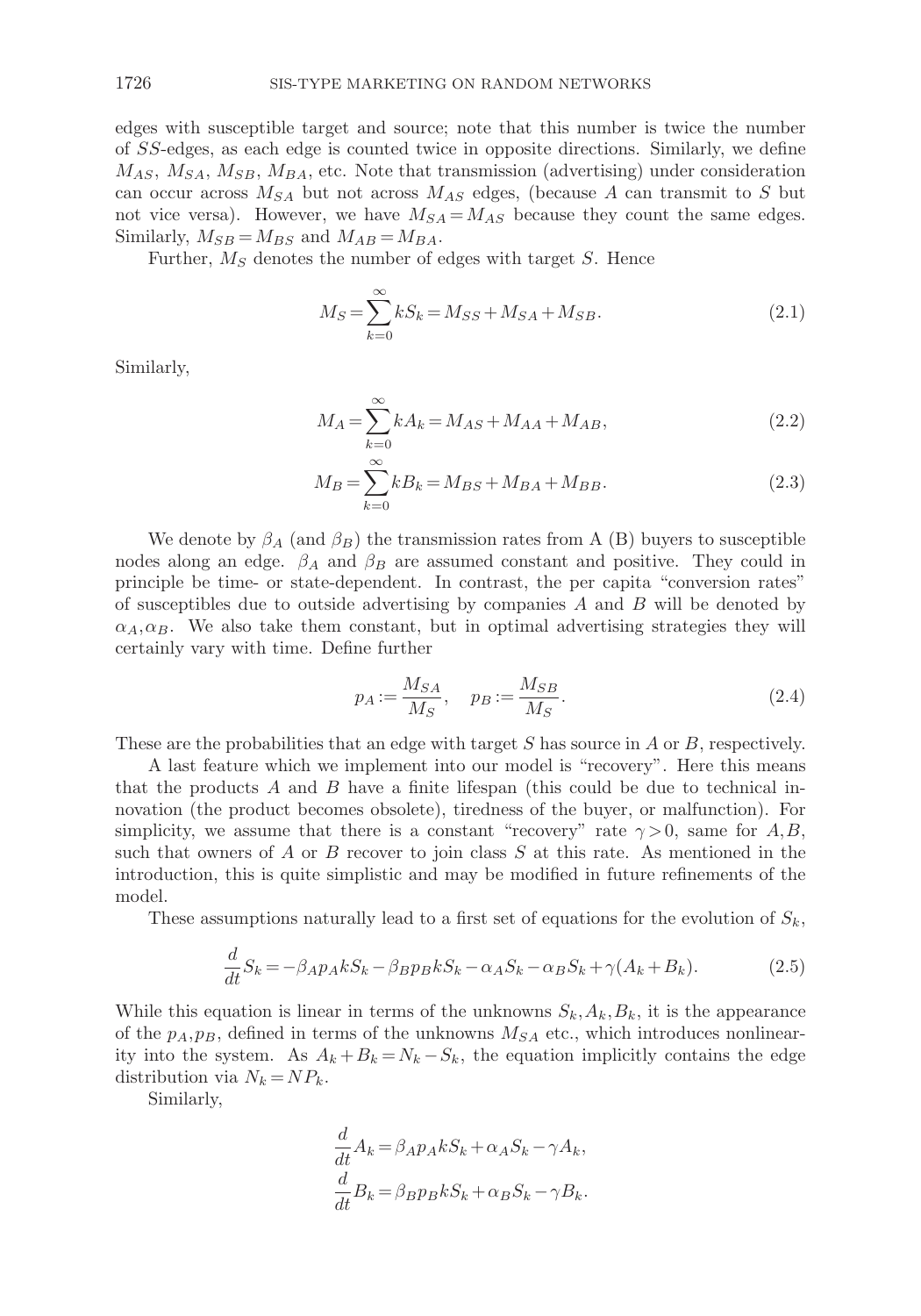edges with susceptible target and source; note that this number is twice the number of SS-edges, as each edge is counted twice in opposite directions. Similarly, we define  $M_{AS}, M_{SA}, M_{SB}, M_{BA}$ , etc. Note that transmission (advertising) under consideration can occur across  $M_{SA}$  but not across  $M_{AS}$  edges, (because A can transmit to S but not vice versa). However, we have  $M_{SA} = M_{AS}$  because they count the same edges. Similarly,  $M_{SB} = M_{BS}$  and  $M_{AB} = M_{BA}$ .

Further,  $M<sub>S</sub>$  denotes the number of edges with target S. Hence

$$
M_S = \sum_{k=0}^{\infty} kS_k = M_{SS} + M_{SA} + M_{SB}.
$$
 (2.1)

Similarly,

$$
M_A = \sum_{k=0}^{\infty} k A_k = M_{AS} + M_{AA} + M_{AB},
$$
\n(2.2)

$$
M_B = \sum_{k=0}^{\infty} k B_k = M_{BS} + M_{BA} + M_{BB}.
$$
 (2.3)

We denote by  $\beta_A$  (and  $\beta_B$ ) the transmission rates from A (B) buyers to susceptible nodes along an edge.  $\beta_A$  and  $\beta_B$  are assumed constant and positive. They could in principle be time- or state-dependent. In contrast, the per capita "conversion rates" of susceptibles due to outside advertising by companies  $A$  and  $B$  will be denoted by  $\alpha_A, \alpha_B$ . We also take them constant, but in optimal advertising strategies they will certainly vary with time. Define further

$$
p_A := \frac{M_{SA}}{M_S}, \quad p_B := \frac{M_{SB}}{M_S}.
$$
\n
$$
(2.4)
$$

These are the probabilities that an edge with target S has source in A or B, respectively.

A last feature which we implement into our model is "recovery". Here this means that the products A and B have a finite lifespan (this could be due to technical innovation (the product becomes obsolete), tiredness of the buyer, or malfunction). For simplicity, we assume that there is a constant "recovery" rate  $\gamma > 0$ , same for A,B, such that owners of  $A$  or  $B$  recover to join class  $S$  at this rate. As mentioned in the introduction, this is quite simplistic and may be modified in future refinements of the model.

These assumptions naturally lead to a first set of equations for the evolution of  $S_k$ ,

$$
\frac{d}{dt}S_k = -\beta_A p_A k S_k - \beta_B p_B k S_k - \alpha_A S_k - \alpha_B S_k + \gamma (A_k + B_k). \tag{2.5}
$$

While this equation is linear in terms of the unknowns  $S_k, A_k, B_k$ , it is the appearance of the  $p_A, p_B$ , defined in terms of the unknowns  $M_{SA}$  etc., which introduces nonlinearity into the system. As  $A_k + B_k = N_k - S_k$ , the equation implicitly contains the edge distribution via  $N_k = NP_k$ .

Similarly,

$$
\frac{d}{dt}A_k = \beta_A p_A k S_k + \alpha_A S_k - \gamma A_k,
$$
  

$$
\frac{d}{dt}B_k = \beta_B p_B k S_k + \alpha_B S_k - \gamma B_k.
$$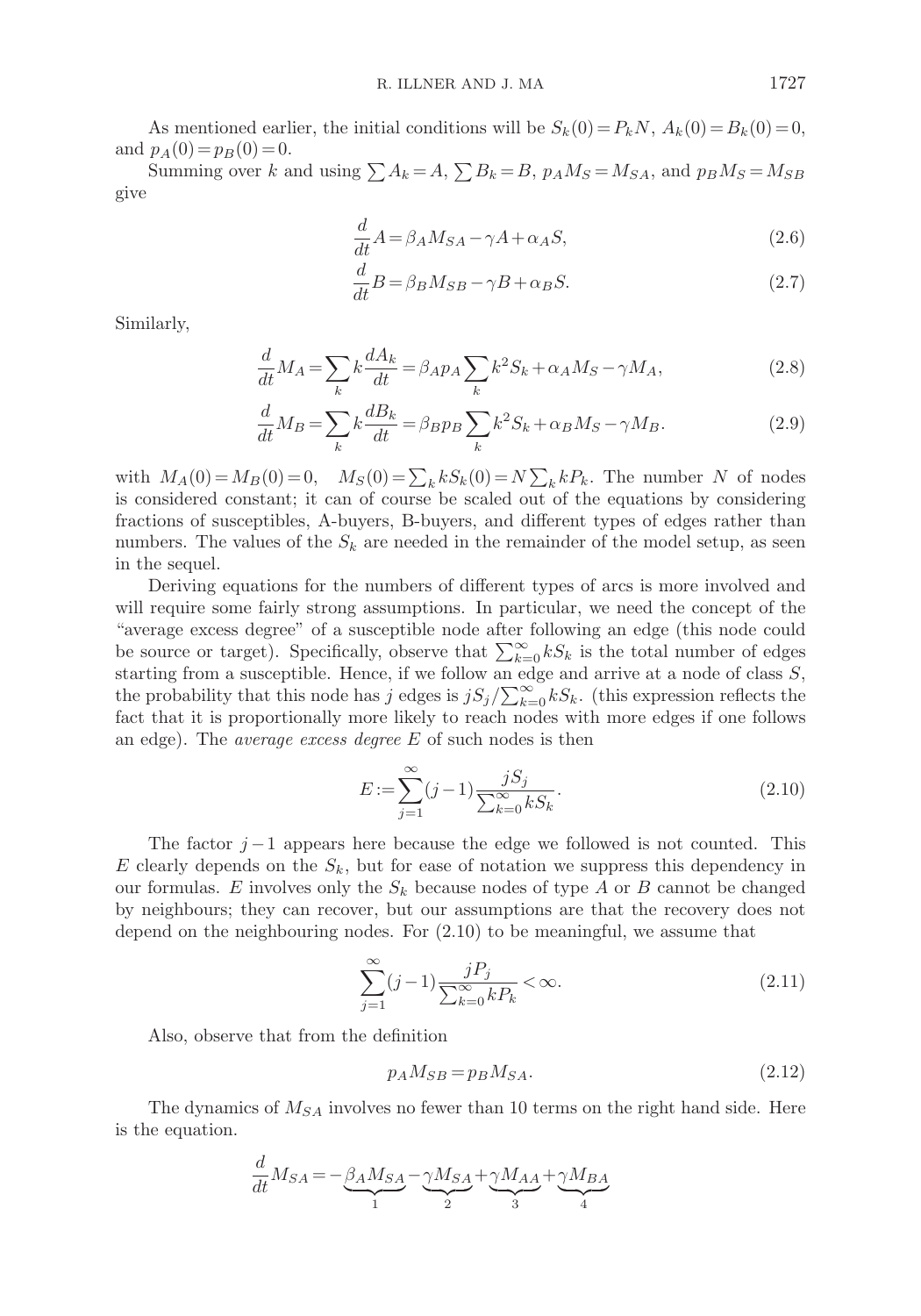As mentioned earlier, the initial conditions will be  $S_k(0) = P_kN$ ,  $A_k(0) = B_k(0) = 0$ , and  $p_A(0) = p_B(0) = 0$ .

Summing over k and using  $\sum A_k = A$ ,  $\sum B_k = B$ ,  $p_A M_S = M_{SA}$ , and  $p_B M_S = M_{SB}$ give

$$
\frac{d}{dt}A = \beta_A M_{SA} - \gamma A + \alpha_A S,\tag{2.6}
$$

$$
\frac{d}{dt}B = \beta_B M_{SB} - \gamma B + \alpha_B S.
$$
\n(2.7)

Similarly,

$$
\frac{d}{dt}M_A = \sum_k k \frac{dA_k}{dt} = \beta_A p_A \sum_k k^2 S_k + \alpha_A M_S - \gamma M_A,\tag{2.8}
$$

$$
\frac{d}{dt}M_B = \sum_k k \frac{dB_k}{dt} = \beta_B p_B \sum_k k^2 S_k + \alpha_B M_S - \gamma M_B.
$$
\n(2.9)

with  $M_A(0) = M_B(0) = 0$ ,  $M_S(0) = \sum_k k S_k(0) = N \sum_k k P_k$ . The number N of nodes is considered constant; it can of course be scaled out of the equations by considering fractions of susceptibles, A-buyers, B-buyers, and different types of edges rather than numbers. The values of the  $S_k$  are needed in the remainder of the model setup, as seen in the sequel.

Deriving equations for the numbers of different types of arcs is more involved and will require some fairly strong assumptions. In particular, we need the concept of the "average excess degree" of a susceptible node after following an edge (this node could be source or target). Specifically, observe that  $\sum_{k=0}^{\infty} kS_k$  is the total number of edges starting from a susceptible. Hence, if we follow an edge and arrive at a node of class  $S$ , the probability that this node has j edges is  $jS_j/\sum_{k=0}^{\infty} kS_k$ . (this expression reflects the fact that it is proportionally more likely to reach nodes with more edges if one follows an edge). The average excess degree E of such nodes is then

$$
E := \sum_{j=1}^{\infty} (j-1) \frac{jS_j}{\sum_{k=0}^{\infty} kS_k}.
$$
\n(2.10)

The factor  $j-1$  appears here because the edge we followed is not counted. This  $E$  clearly depends on the  $S_k$ , but for ease of notation we suppress this dependency in our formulas. E involves only the  $S_k$  because nodes of type A or B cannot be changed by neighbours; they can recover, but our assumptions are that the recovery does not depend on the neighbouring nodes. For (2.10) to be meaningful, we assume that

$$
\sum_{j=1}^{\infty} (j-1) \frac{jP_j}{\sum_{k=0}^{\infty} kP_k} < \infty. \tag{2.11}
$$

Also, observe that from the definition

$$
p_A M_{SB} = p_B M_{SA}.\tag{2.12}
$$

The dynamics of  $M_{SA}$  involves no fewer than 10 terms on the right hand side. Here is the equation.

$$
\frac{d}{dt}M_{SA}=-\underbrace{\beta_A M_{SA}}_{1}-\underbrace{\gamma M_{SA}}_{2}+\underbrace{\gamma M_{AA}}_{3}+\underbrace{\gamma M_{BA}}_{4}
$$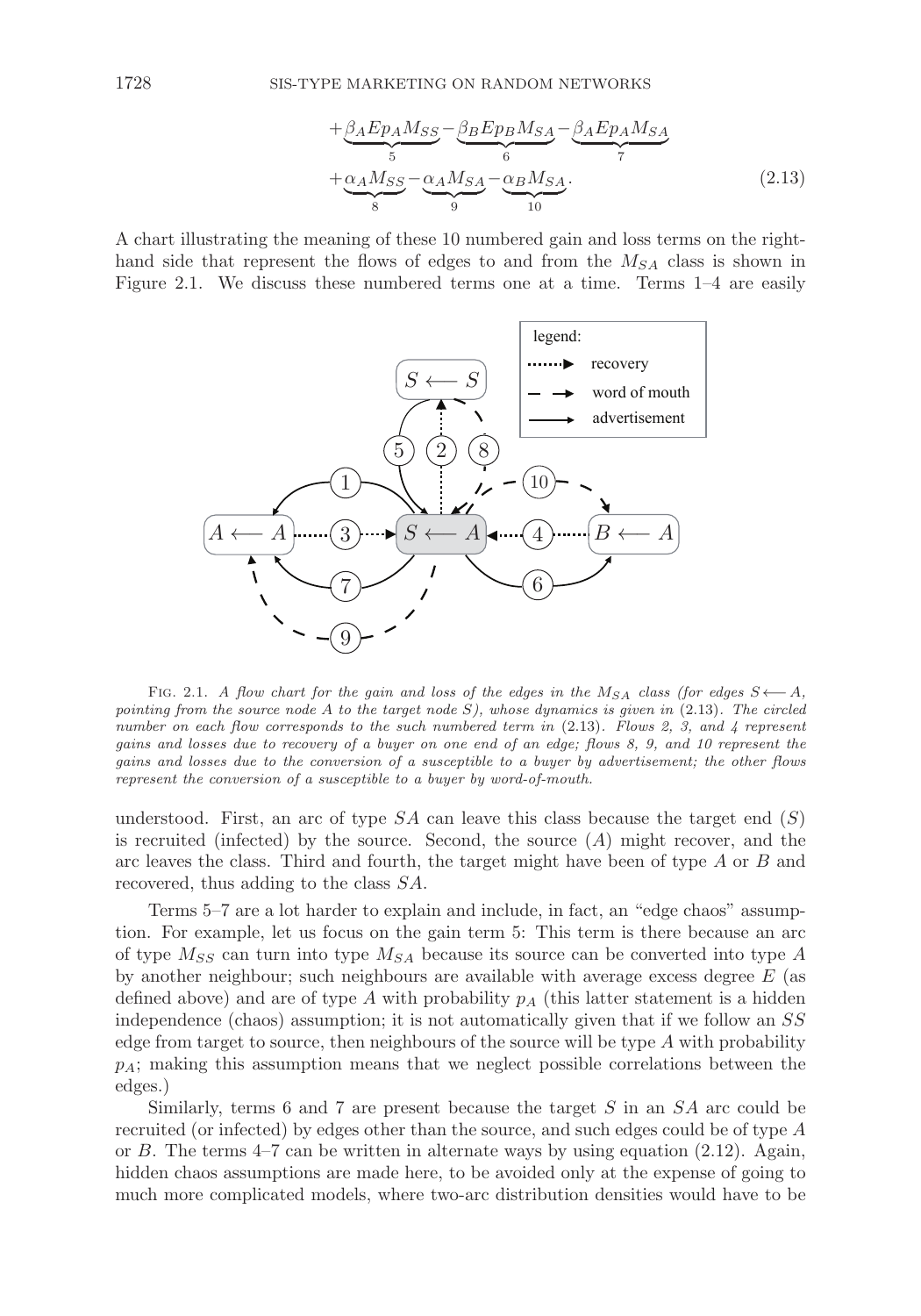$$
+\underbrace{\beta_A E p_A M_{SS}}_{5} - \underbrace{\beta_B E p_B M_{SA}}_{6} - \underbrace{\beta_A E p_A M_{SA}}_{7}
$$
\n
$$
+\underbrace{\alpha_A M_{SS}}_{8} - \underbrace{\alpha_A M_{SA}}_{9} - \underbrace{\alpha_B M_{SA}}_{10}.
$$
\n(2.13)

A chart illustrating the meaning of these 10 numbered gain and loss terms on the righthand side that represent the flows of edges to and from the  $M_{SA}$  class is shown in Figure 2.1. We discuss these numbered terms one at a time. Terms 1–4 are easily



FIG. 2.1. A flow chart for the gain and loss of the edges in the  $M_{SA}$  class (for edges  $S \leftarrow A$ , pointing from the source node A to the target node  $S$ ), whose dynamics is given in  $(2.13)$ . The circled number on each flow corresponds to the such numbered term in  $(2.13)$ . Flows 2, 3, and 4 represent gains and losses due to recovery of a buyer on one end of an edge; flows 8, 9, and 10 represent the gains and losses due to the conversion of a susceptible to a buyer by advertisement; the other flows represent the conversion of a susceptible to a buyer by word-of-mouth.

understood. First, an arc of type  $SA$  can leave this class because the target end  $(S)$ is recruited (infected) by the source. Second, the source  $(A)$  might recover, and the arc leaves the class. Third and fourth, the target might have been of type A or B and recovered, thus adding to the class SA.

Terms 5–7 are a lot harder to explain and include, in fact, an "edge chaos" assumption. For example, let us focus on the gain term 5: This term is there because an arc of type  $M_{SS}$  can turn into type  $M_{SA}$  because its source can be converted into type A by another neighbour; such neighbours are available with average excess degree E (as defined above) and are of type A with probability  $p<sub>A</sub>$  (this latter statement is a hidden independence (chaos) assumption; it is not automatically given that if we follow an SS edge from target to source, then neighbours of the source will be type  $A$  with probability  $p_A$ ; making this assumption means that we neglect possible correlations between the edges.)

Similarly, terms 6 and 7 are present because the target  $S$  in an  $SA$  arc could be recruited (or infected) by edges other than the source, and such edges could be of type A or B. The terms  $4-7$  can be written in alternate ways by using equation  $(2.12)$ . Again, hidden chaos assumptions are made here, to be avoided only at the expense of going to much more complicated models, where two-arc distribution densities would have to be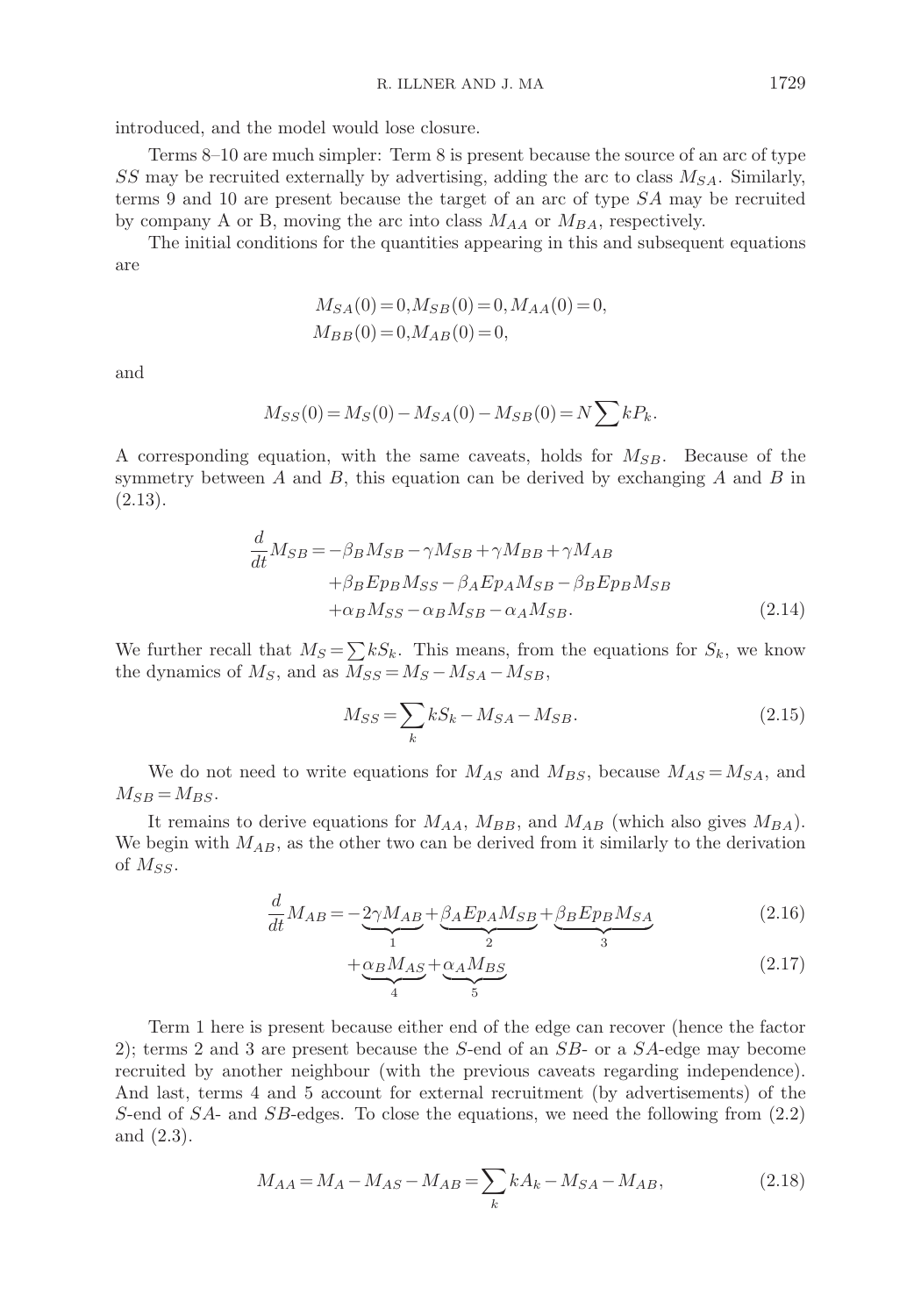introduced, and the model would lose closure.

Terms 8–10 are much simpler: Term 8 is present because the source of an arc of type SS may be recruited externally by advertising, adding the arc to class  $M_{SA}$ . Similarly, terms 9 and 10 are present because the target of an arc of type SA may be recruited by company A or B, moving the arc into class  $M_{AA}$  or  $M_{BA}$ , respectively.

The initial conditions for the quantities appearing in this and subsequent equations are

$$
\begin{aligned} M_{SA}(0)=&\,0,M_{SB}(0)=0,M_{AA}(0)=0,\\ M_{BB}(0)=&\,0,M_{AB}(0)=0, \end{aligned}
$$

and

$$
M_{SS}(0) = M_S(0) - M_{SA}(0) - M_{SB}(0) = N \sum k P_k.
$$

A corresponding equation, with the same caveats, holds for  $M_{SB}$ . Because of the symmetry between  $A$  and  $B$ , this equation can be derived by exchanging  $A$  and  $B$  in (2.13).

$$
\frac{d}{dt}M_{SB} = -\beta_B M_{SB} - \gamma M_{SB} + \gamma M_{BB} + \gamma M_{AB}
$$

$$
+\beta_B E p_B M_{SS} - \beta_A E p_A M_{SB} - \beta_B E p_B M_{SB}
$$

$$
+\alpha_B M_{SS} - \alpha_B M_{SB} - \alpha_A M_{SB}.
$$
(2.14)

We further recall that  $M_S = \sum kS_k$ . This means, from the equations for  $S_k$ , we know the dynamics of  $M_S$ , and as  $M_{SS} = M_S - M_{SA} - M_{SB}$ ,

$$
M_{SS} = \sum_{k} kS_k - M_{SA} - M_{SB}.
$$
\n(2.15)

We do not need to write equations for  $M_{AS}$  and  $M_{BS}$ , because  $M_{AS} = M_{SA}$ , and  $M_{SB} = M_{BS}$ .

It remains to derive equations for  $M_{AA}$ ,  $M_{BB}$ , and  $M_{AB}$  (which also gives  $M_{BA}$ ). We begin with  $M_{AB}$ , as the other two can be derived from it similarly to the derivation of  $M_{SS}$ .

$$
\frac{d}{dt}M_{AB} = -\underbrace{2\gamma M_{AB}}_{1} + \underbrace{\beta_A E p_A M_{SB}}_{2} + \underbrace{\beta_B E p_B M_{SA}}_{3}
$$
\n(2.16)

$$
+\underbrace{\alpha_B M_{AS}}_{4} + \underbrace{\alpha_A M_{BS}}_{5}
$$
\n(2.17)

Term 1 here is present because either end of the edge can recover (hence the factor 2); terms 2 and 3 are present because the S-end of an SB- or a SA-edge may become recruited by another neighbour (with the previous caveats regarding independence). And last, terms 4 and 5 account for external recruitment (by advertisements) of the S-end of SA- and SB-edges. To close the equations, we need the following from (2.2) and (2.3).

$$
M_{AA} = M_A - M_{AS} - M_{AB} = \sum_{k} k A_k - M_{SA} - M_{AB},
$$
\n(2.18)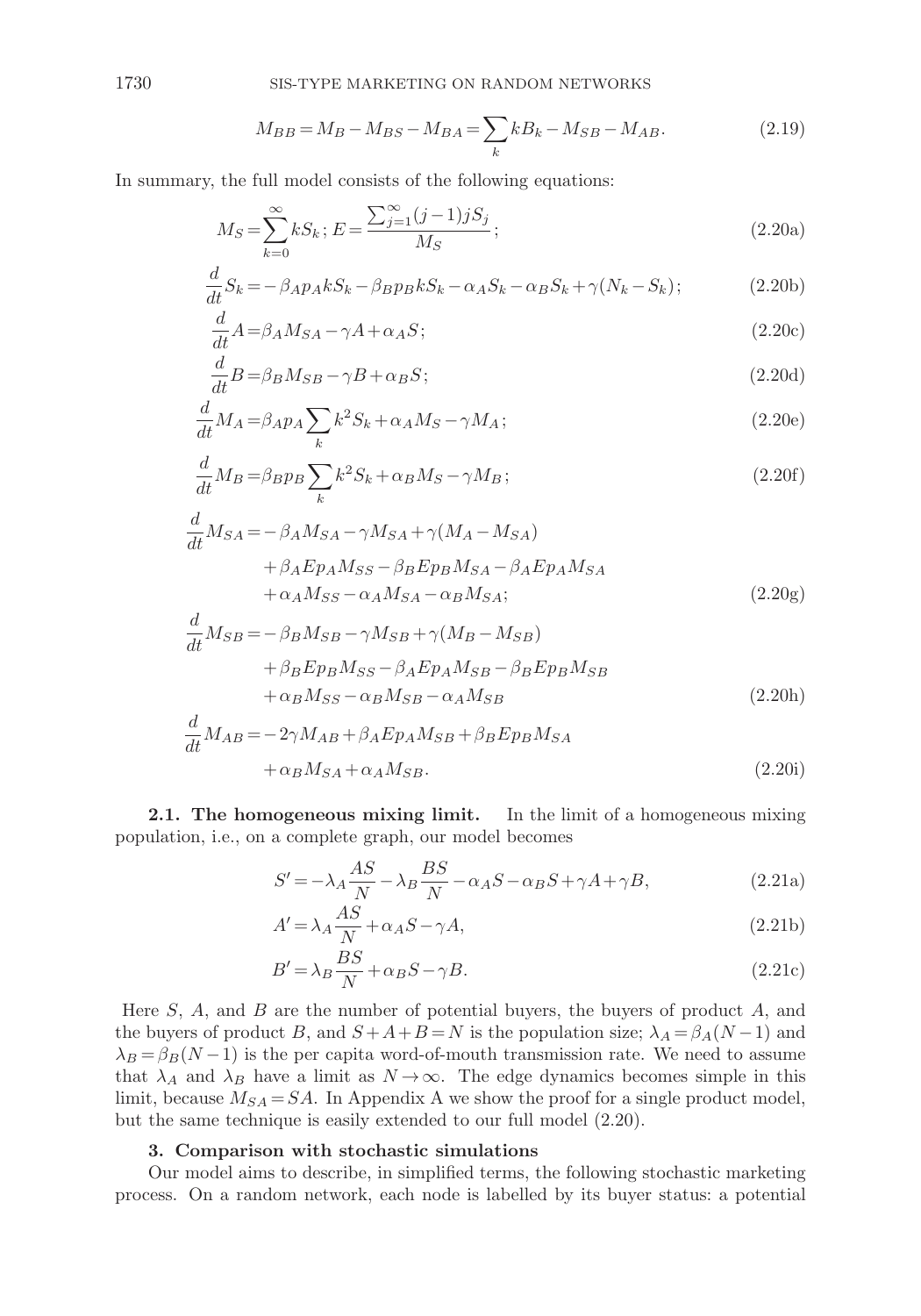$$
M_{BB} = M_B - M_{BS} - M_{BA} = \sum_{k} k B_k - M_{SB} - M_{AB}.
$$
\n(2.19)

In summary, the full model consists of the following equations:

$$
M_S = \sum_{k=0}^{\infty} k S_k; E = \frac{\sum_{j=1}^{\infty} (j-1) j S_j}{M_S};
$$
\n(2.20a)

$$
\frac{d}{dt}S_k = -\beta_A p_A k S_k - \beta_B p_B k S_k - \alpha_A S_k - \alpha_B S_k + \gamma (N_k - S_k); \tag{2.20b}
$$

$$
\frac{d}{dt}A = \beta_A M_{SA} - \gamma A + \alpha_A S; \tag{2.20c}
$$

$$
\frac{d}{dt}B = \beta_B M_{SB} - \gamma B + \alpha_B S; \tag{2.20d}
$$

$$
\frac{d}{dt}M_A = \beta_A p_A \sum_k k^2 S_k + \alpha_A M_S - \gamma M_A; \tag{2.20e}
$$

$$
\frac{d}{dt}M_B = \beta_B p_B \sum_k k^2 S_k + \alpha_B M_S - \gamma M_B;
$$
\n(2.20f)

$$
\frac{d}{dt}M_{SA} = -\beta_A M_{SA} - \gamma M_{SA} + \gamma (M_A - M_{SA})
$$
  
+  $\beta_A E p_A M_{SS} - \beta_B E p_B M_{SA} - \beta_A E p_A M_{SA}$   
+  $\alpha_A M_{SS} - \alpha_A M_{SA} - \alpha_B M_{SA}$  (2.20g)

$$
\frac{d}{dt}M_{SB} = -\beta_B M_{SB} - \gamma M_{SB} + \gamma (M_B - M_{SB})
$$

$$
+ \beta_B E p_B M_{SS} - \beta_A E p_A M_{SB} - \beta_B E p_B M_{SB}
$$

$$
+ \alpha_B M_{SS} - \alpha_B M_{SB} - \alpha_A M_{SB}
$$
(2.20h)

$$
\frac{d}{dt}M_{AB} = -2\gamma M_{AB} + \beta_A E p_A M_{SB} + \beta_B E p_B M_{SA}
$$

$$
+ \alpha_B M_{SA} + \alpha_A M_{SB}.
$$
\n(2.20i)

**2.1. The homogeneous mixing limit.** In the limit of a homogeneous mixing population, i.e., on a complete graph, our model becomes

$$
S' = -\lambda_A \frac{AS}{N} - \lambda_B \frac{BS}{N} - \alpha_A S - \alpha_B S + \gamma A + \gamma B,
$$
\n(2.21a)

$$
A' = \lambda_A \frac{AS}{N} + \alpha_A S - \gamma A,\tag{2.21b}
$$

$$
B' = \lambda_B \frac{BS}{N} + \alpha_B S - \gamma B. \tag{2.21c}
$$

Here  $S$ ,  $A$ , and  $B$  are the number of potential buyers, the buyers of product  $A$ , and the buyers of product B, and  $S + A + B = N$  is the population size;  $\lambda_A = \beta_A(N-1)$  and  $\lambda_B = \beta_B(N-1)$  is the per capita word-of-mouth transmission rate. We need to assume that  $\lambda_A$  and  $\lambda_B$  have a limit as  $N \to \infty$ . The edge dynamics becomes simple in this limit, because  $M_{SA} = SA$ . In Appendix A we show the proof for a single product model, but the same technique is easily extended to our full model (2.20).

## **3. Comparison with stochastic simulations**

Our model aims to describe, in simplified terms, the following stochastic marketing process. On a random network, each node is labelled by its buyer status: a potential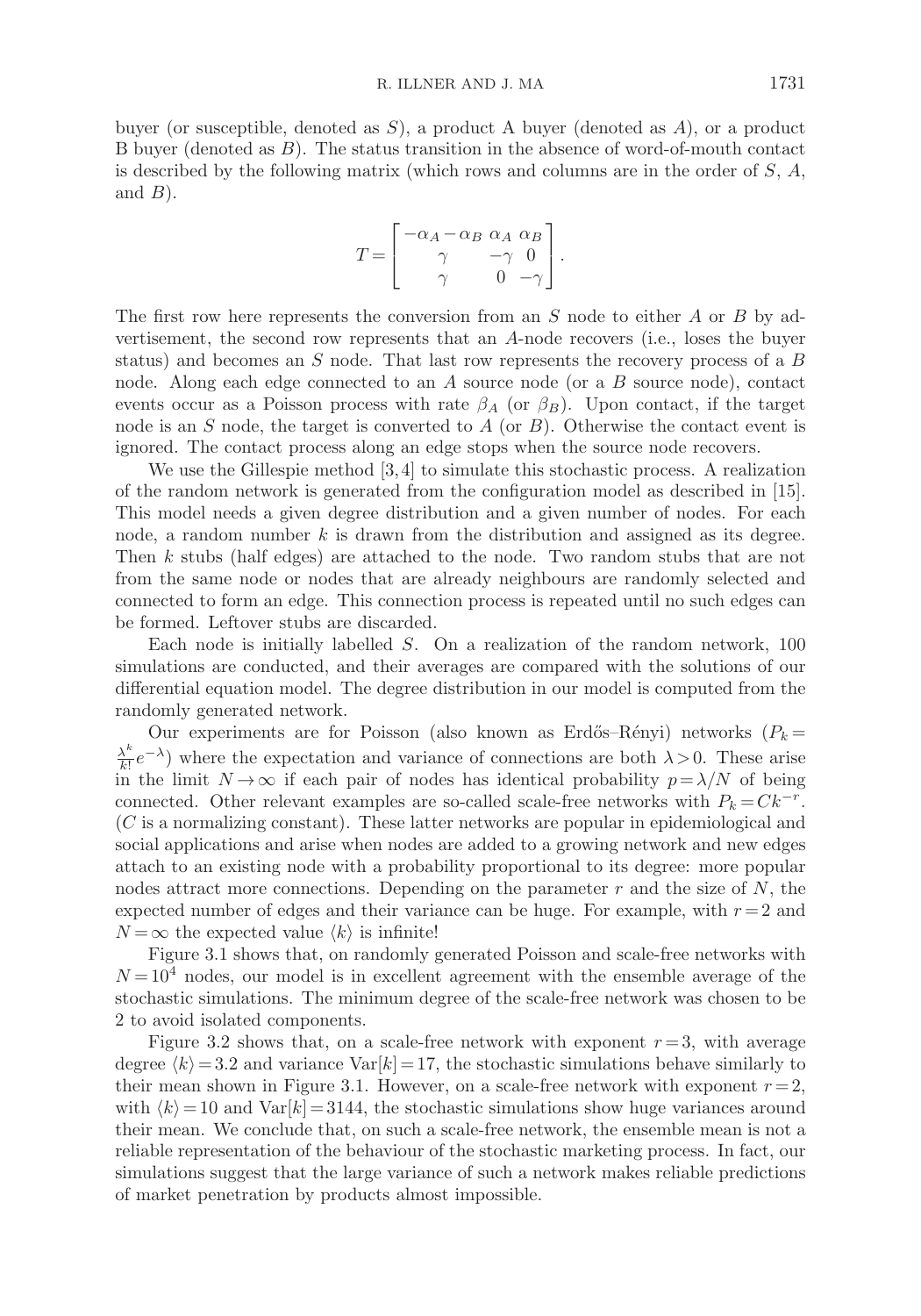buyer (or susceptible, denoted as  $S$ ), a product A buyer (denoted as  $A$ ), or a product B buyer (denoted as B). The status transition in the absence of word-of-mouth contact is described by the following matrix (which rows and columns are in the order of  $S$ ,  $A$ , and  $B$ ).

$$
T = \begin{bmatrix} -\alpha_A - \alpha_B & \alpha_A & \alpha_B \\ \gamma & -\gamma & 0 \\ \gamma & 0 & -\gamma \end{bmatrix}.
$$

The first row here represents the conversion from an  $S$  node to either  $A$  or  $B$  by advertisement, the second row represents that an A-node recovers (i.e., loses the buyer status) and becomes an S node. That last row represents the recovery process of a B node. Along each edge connected to an A source node (or a B source node), contact events occur as a Poisson process with rate  $\beta_A$  (or  $\beta_B$ ). Upon contact, if the target node is an  $S$  node, the target is converted to  $A$  (or  $B$ ). Otherwise the contact event is ignored. The contact process along an edge stops when the source node recovers.

We use the Gillespie method  $[3, 4]$  to simulate this stochastic process. A realization of the random network is generated from the configuration model as described in [15]. This model needs a given degree distribution and a given number of nodes. For each node, a random number  $k$  is drawn from the distribution and assigned as its degree. Then k stubs (half edges) are attached to the node. Two random stubs that are not from the same node or nodes that are already neighbours are randomly selected and connected to form an edge. This connection process is repeated until no such edges can be formed. Leftover stubs are discarded.

Each node is initially labelled S. On a realization of the random network, 100 simulations are conducted, and their averages are compared with the solutions of our differential equation model. The degree distribution in our model is computed from the randomly generated network.

Our experiments are for Poisson (also known as Erdős–Rényi) networks  $(P_k =$  $\frac{\lambda^k}{k!}e^{-\lambda}$ ) where the expectation and variance of connections are both  $\lambda > 0$ . These arise in the limit  $N \to \infty$  if each pair of nodes has identical probability  $p = \lambda/N$  of being connected. Other relevant examples are so-called scale-free networks with  $P_k = Ck^{-r}$ . (C is a normalizing constant). These latter networks are popular in epidemiological and social applications and arise when nodes are added to a growing network and new edges attach to an existing node with a probability proportional to its degree: more popular nodes attract more connections. Depending on the parameter  $r$  and the size of  $N$ , the expected number of edges and their variance can be huge. For example, with  $r = 2$  and  $N = \infty$  the expected value  $\langle k \rangle$  is infinite!

Figure 3.1 shows that, on randomly generated Poisson and scale-free networks with  $N = 10<sup>4</sup>$  nodes, our model is in excellent agreement with the ensemble average of the stochastic simulations. The minimum degree of the scale-free network was chosen to be 2 to avoid isolated components.

Figure 3.2 shows that, on a scale-free network with exponent  $r = 3$ , with average degree  $\langle k \rangle = 3.2$  and variance Var $[k] = 17$ , the stochastic simulations behave similarly to their mean shown in Figure 3.1. However, on a scale-free network with exponent  $r = 2$ , with  $\langle k \rangle = 10$  and Var $[k] = 3144$ , the stochastic simulations show huge variances around their mean. We conclude that, on such a scale-free network, the ensemble mean is not a reliable representation of the behaviour of the stochastic marketing process. In fact, our simulations suggest that the large variance of such a network makes reliable predictions of market penetration by products almost impossible.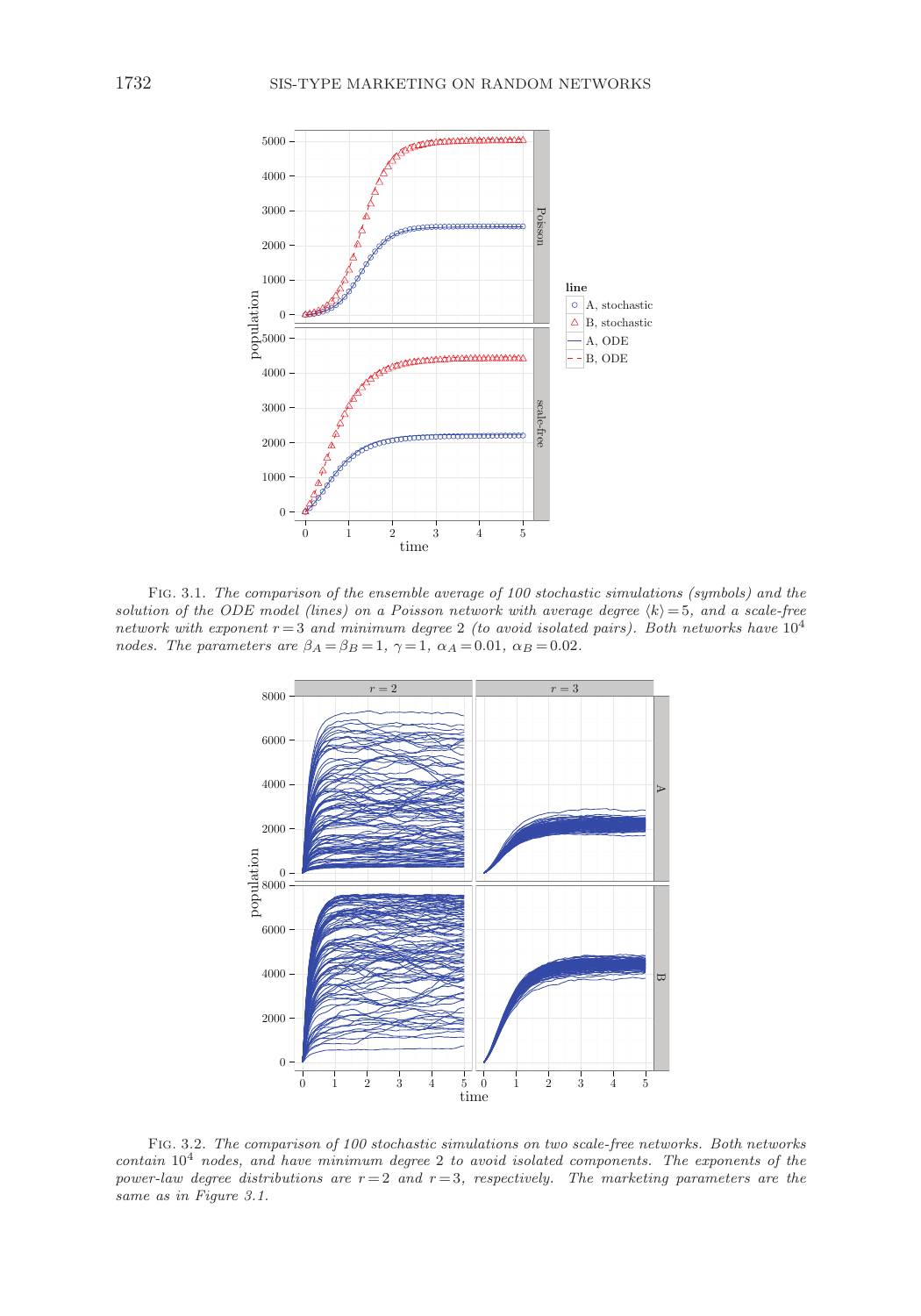

Fig. 3.1. The comparison of the ensemble average of 100 stochastic simulations (symbols) and the solution of the ODE model (lines) on a Poisson network with average degree  $\langle k \rangle = 5$ , and a scale-free network with exponent  $r = 3$  and minimum degree 2 (to avoid isolated pairs). Both networks have  $10^4$ nodes. The parameters are  $\beta_A = \beta_B = 1$ ,  $\gamma = 1$ ,  $\alpha_A = 0.01$ ,  $\alpha_B = 0.02$ .



Fig. 3.2. The comparison of 100 stochastic simulations on two scale-free networks. Both networks  $contain 10<sup>4</sup> nodes, and have minimum degree 2 to avoid isolated components. The exponents of the$ power-law degree distributions are  $r=2$  and  $r=3$ , respectively. The marketing parameters are the same as in Figure 3.1.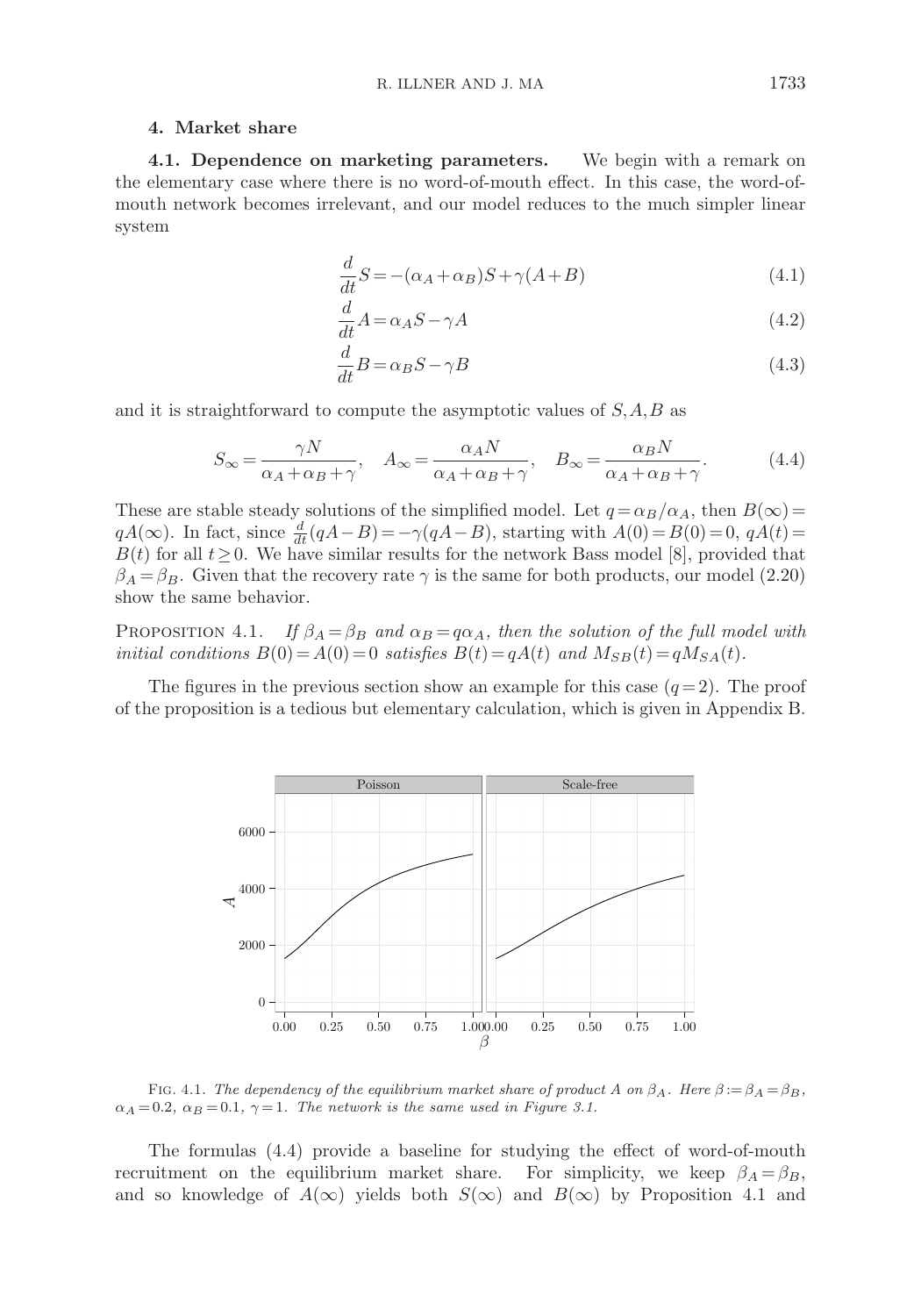### **4. Market share**

**4.1. Dependence on marketing parameters.** We begin with a remark on the elementary case where there is no word-of-mouth effect. In this case, the word-ofmouth network becomes irrelevant, and our model reduces to the much simpler linear system

$$
\frac{d}{dt}S = -(\alpha_A + \alpha_B)S + \gamma(A + B)
$$
\n(4.1)

$$
\frac{d}{dt}A = \alpha_A S - \gamma A\tag{4.2}
$$

$$
\frac{d}{dt}B = \alpha_B S - \gamma B\tag{4.3}
$$

and it is straightforward to compute the asymptotic values of  $S, A, B$  as

$$
S_{\infty} = \frac{\gamma N}{\alpha_A + \alpha_B + \gamma}, \quad A_{\infty} = \frac{\alpha_A N}{\alpha_A + \alpha_B + \gamma}, \quad B_{\infty} = \frac{\alpha_B N}{\alpha_A + \alpha_B + \gamma}.
$$
 (4.4)

These are stable steady solutions of the simplified model. Let  $q = \alpha_B/\alpha_A$ , then  $B(\infty)$  =  $qA(\infty)$ . In fact, since  $\frac{d}{dt}(qA-B) = -\gamma(qA-B)$ , starting with  $A(0) = B(0) = 0$ ,  $qA(t) =$  $B(t)$  for all  $t\geq0$ . We have similar results for the network Bass model [8], provided that  $\beta_A = \beta_B$ . Given that the recovery rate  $\gamma$  is the same for both products, our model (2.20) show the same behavior.

PROPOSITION 4.1. If  $\beta_A = \beta_B$  and  $\alpha_B = q\alpha_A$ , then the solution of the full model with initial conditions  $B(0) = A(0) = 0$  satisfies  $B(t) = qA(t)$  and  $M_{SB}(t) = qM_{SA}(t)$ .

The figures in the previous section show an example for this case  $(q=2)$ . The proof of the proposition is a tedious but elementary calculation, which is given in Appendix B.



FIG. 4.1. The dependency of the equilibrium market share of product A on  $\beta_A$ . Here  $\beta := \beta_A = \beta_B$ ,  $\alpha_A = 0.2$ ,  $\alpha_B = 0.1$ ,  $\gamma = 1$ . The network is the same used in Figure 3.1.

The formulas (4.4) provide a baseline for studying the effect of word-of-mouth recruitment on the equilibrium market share. For simplicity, we keep  $\beta_A = \beta_B$ , and so knowledge of  $A(\infty)$  yields both  $S(\infty)$  and  $B(\infty)$  by Proposition 4.1 and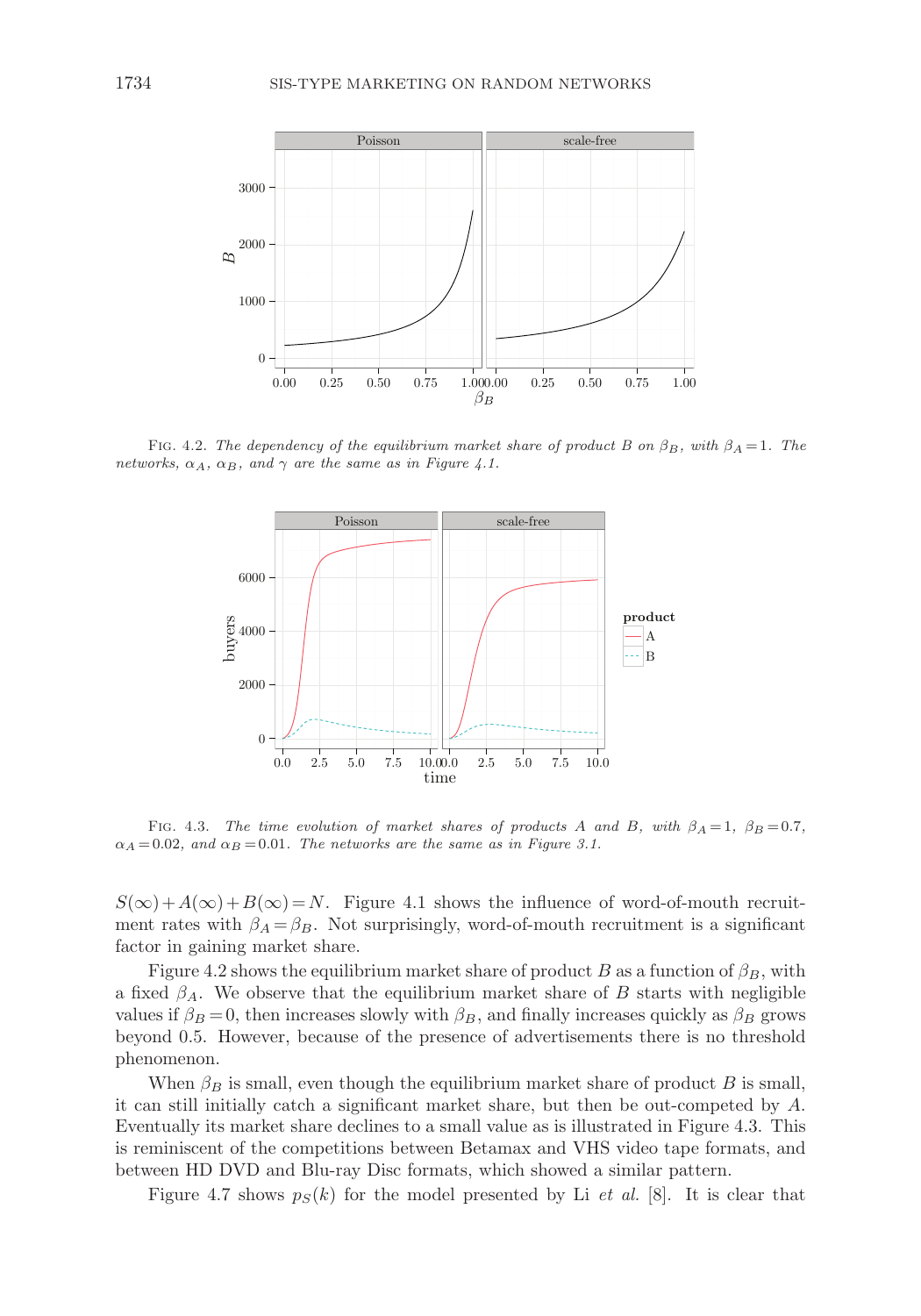

FIG. 4.2. The dependency of the equilibrium market share of product B on  $\beta_B$ , with  $\beta_A = 1$ . The networks,  $\alpha_A$ ,  $\alpha_B$ , and  $\gamma$  are the same as in Figure 4.1.



FIG. 4.3. The time evolution of market shares of products A and B, with  $\beta_A = 1$ ,  $\beta_B = 0.7$ ,  $\alpha_A = 0.02$ , and  $\alpha_B = 0.01$ . The networks are the same as in Figure 3.1.

 $S(\infty) + A(\infty) + B(\infty) = N$ . Figure 4.1 shows the influence of word-of-mouth recruitment rates with  $\beta_A = \beta_B$ . Not surprisingly, word-of-mouth recruitment is a significant factor in gaining market share.

Figure 4.2 shows the equilibrium market share of product B as a function of  $\beta_B$ , with a fixed  $\beta_A$ . We observe that the equilibrium market share of B starts with negligible values if  $\beta_B = 0$ , then increases slowly with  $\beta_B$ , and finally increases quickly as  $\beta_B$  grows beyond 0.5. However, because of the presence of advertisements there is no threshold phenomenon.

When  $\beta_B$  is small, even though the equilibrium market share of product B is small, it can still initially catch a significant market share, but then be out-competed by A. Eventually its market share declines to a small value as is illustrated in Figure 4.3. This is reminiscent of the competitions between Betamax and VHS video tape formats, and between HD DVD and Blu-ray Disc formats, which showed a similar pattern.

Figure 4.7 shows  $p_S(k)$  for the model presented by Li *et al.* [8]. It is clear that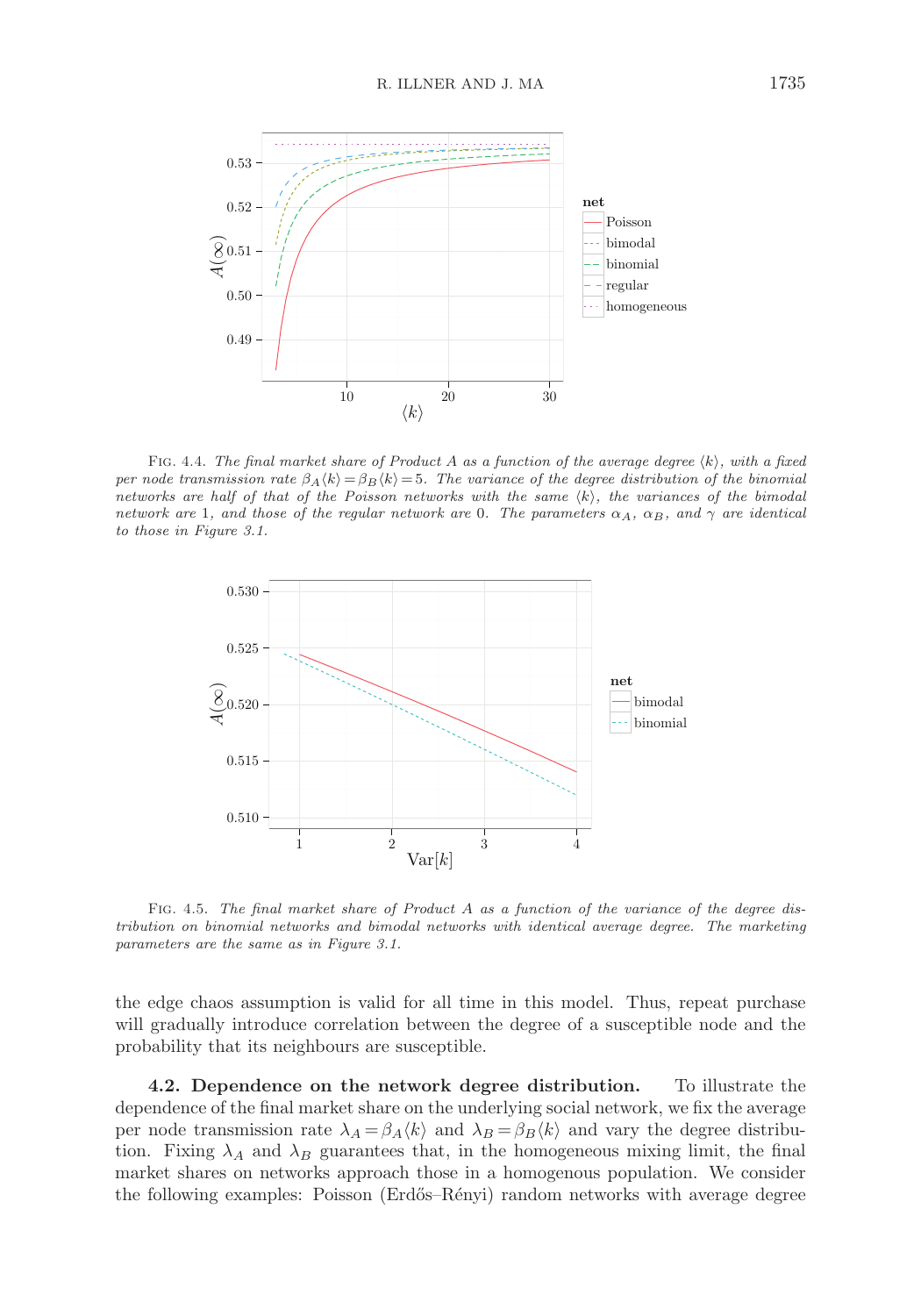

FIG. 4.4. The final market share of Product A as a function of the average degree  $\langle k \rangle$ , with a fixed per node transmission rate  $\beta_A \langle k \rangle = \beta_B \langle k \rangle = 5$ . The variance of the degree distribution of the binomial networks are half of that of the Poisson networks with the same  $\langle k \rangle$ , the variances of the bimodal network are 1, and those of the regular network are 0. The parameters  $\alpha_A$ ,  $\alpha_B$ , and  $\gamma$  are identical to those in Figure 3.1.



Fig. 4.5. The final market share of Product <sup>A</sup> as a function of the variance of the degree distribution on binomial networks and bimodal networks with identical average degree. The marketing parameters are the same as in Figure 3.1.

the edge chaos assumption is valid for all time in this model. Thus, repeat purchase will gradually introduce correlation between the degree of a susceptible node and the probability that its neighbours are susceptible.

**4.2. Dependence on the network degree distribution.** To illustrate the dependence of the final market share on the underlying social network, we fix the average per node transmission rate  $\lambda_A = \beta_A \langle k \rangle$  and  $\lambda_B = \beta_B \langle k \rangle$  and vary the degree distribution. Fixing  $\lambda_A$  and  $\lambda_B$  guarantees that, in the homogeneous mixing limit, the final market shares on networks approach those in a homogenous population. We consider the following examples: Poisson (Erd˝os–R´enyi) random networks with average degree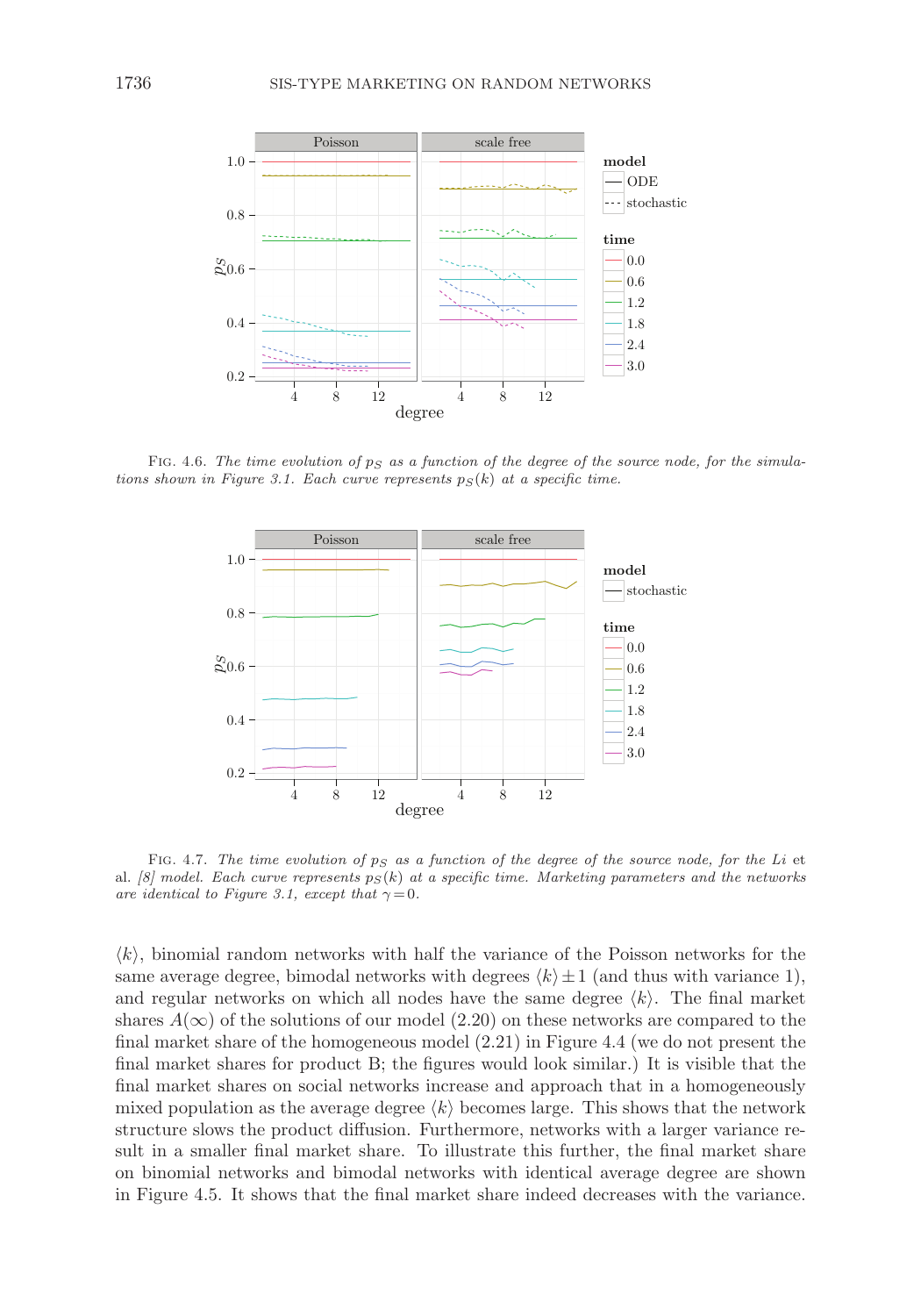

FIG. 4.6. The time evolution of  $p_S$  as a function of the degree of the source node, for the simulations shown in Figure 3.1. Each curve represents  $p_S(k)$  at a specific time.



FIG. 4.7. The time evolution of  $p_S$  as a function of the degree of the source node, for the Li et al. [8] model. Each curve represents  $p_S(k)$  at a specific time. Marketing parameters and the networks are identical to Figure 3.1, except that  $\gamma = 0$ .

 $\langle k \rangle$ , binomial random networks with half the variance of the Poisson networks for the same average degree, bimodal networks with degrees  $\langle k \rangle \pm 1$  (and thus with variance 1), and regular networks on which all nodes have the same degree  $\langle k \rangle$ . The final market shares  $A(\infty)$  of the solutions of our model (2.20) on these networks are compared to the final market share of the homogeneous model (2.21) in Figure 4.4 (we do not present the final market shares for product B; the figures would look similar.) It is visible that the final market shares on social networks increase and approach that in a homogeneously mixed population as the average degree  $\langle k \rangle$  becomes large. This shows that the network structure slows the product diffusion. Furthermore, networks with a larger variance result in a smaller final market share. To illustrate this further, the final market share on binomial networks and bimodal networks with identical average degree are shown in Figure 4.5. It shows that the final market share indeed decreases with the variance.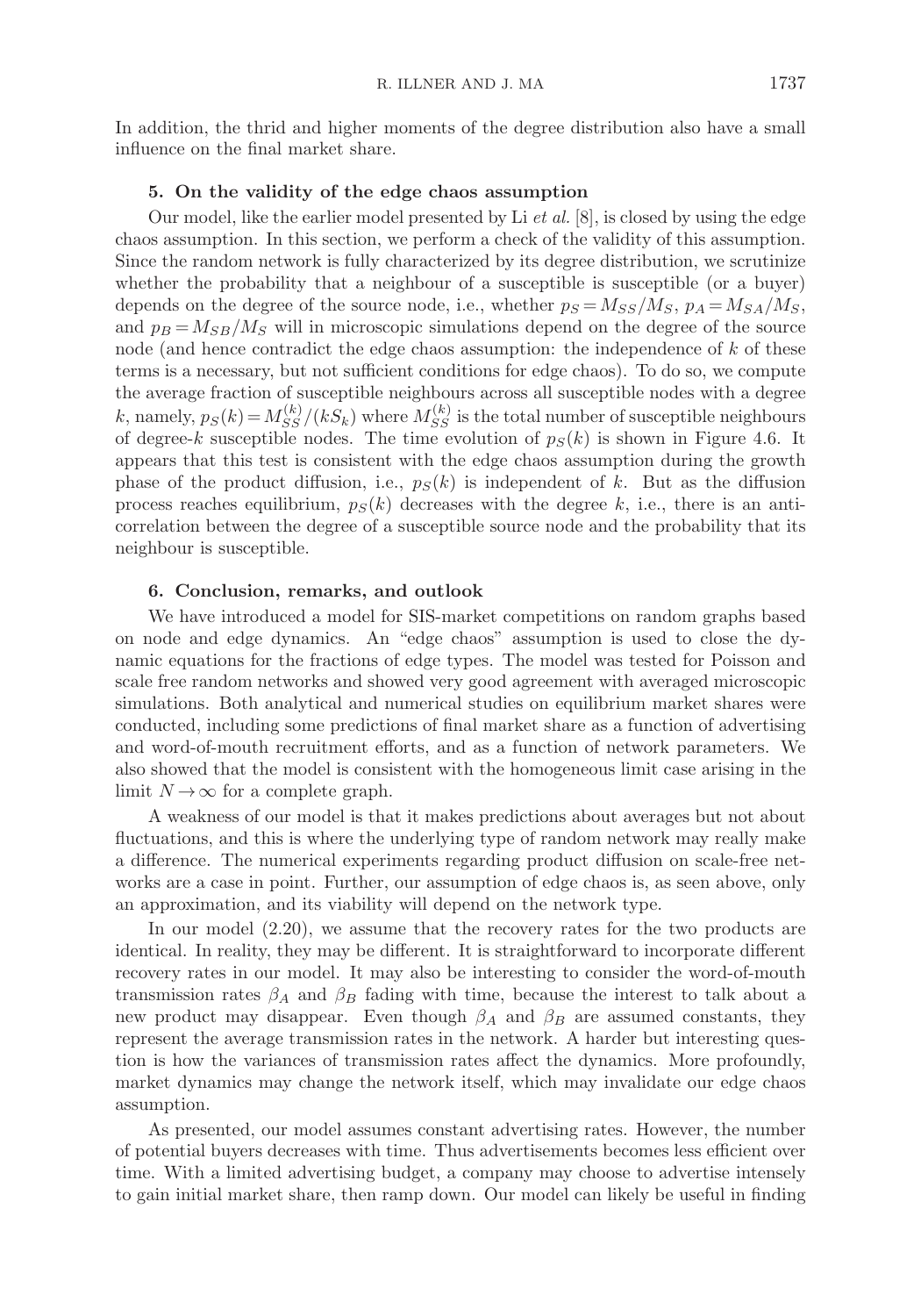In addition, the thrid and higher moments of the degree distribution also have a small influence on the final market share.

# **5. On the validity of the edge chaos assumption**

Our model, like the earlier model presented by Li  $et al. [8]$ , is closed by using the edge chaos assumption. In this section, we perform a check of the validity of this assumption. Since the random network is fully characterized by its degree distribution, we scrutinize whether the probability that a neighbour of a susceptible is susceptible (or a buyer) depends on the degree of the source node, i.e., whether  $p_S = M_{SS}/M_S$ ,  $p_A = M_{SA}/M_S$ , and  $p_B = M_{SB}/M_S$  will in microscopic simulations depend on the degree of the source node (and hence contradict the edge chaos assumption: the independence of k of these terms is a necessary, but not sufficient conditions for edge chaos). To do so, we compute the average fraction of susceptible neighbours across all susceptible nodes with a degree k, namely,  $p_S(k) = M_{SS}^{(k)}/(kS_k)$  where  $M_{SS}^{(k)}$  is the total number of susceptible neighbours of degree-k susceptible nodes. The time evolution of  $p_S(k)$  is shown in Figure 4.6. It appears that this test is consistent with the edge chaos assumption during the growth phase of the product diffusion, i.e.,  $p<sub>S</sub>(k)$  is independent of k. But as the diffusion process reaches equilibrium,  $p_S(k)$  decreases with the degree k, i.e., there is an anticorrelation between the degree of a susceptible source node and the probability that its neighbour is susceptible.

## **6. Conclusion, remarks, and outlook**

We have introduced a model for SIS-market competitions on random graphs based on node and edge dynamics. An "edge chaos" assumption is used to close the dynamic equations for the fractions of edge types. The model was tested for Poisson and scale free random networks and showed very good agreement with averaged microscopic simulations. Both analytical and numerical studies on equilibrium market shares were conducted, including some predictions of final market share as a function of advertising and word-of-mouth recruitment efforts, and as a function of network parameters. We also showed that the model is consistent with the homogeneous limit case arising in the limit  $N \to \infty$  for a complete graph.

A weakness of our model is that it makes predictions about averages but not about fluctuations, and this is where the underlying type of random network may really make a difference. The numerical experiments regarding product diffusion on scale-free networks are a case in point. Further, our assumption of edge chaos is, as seen above, only an approximation, and its viability will depend on the network type.

In our model (2.20), we assume that the recovery rates for the two products are identical. In reality, they may be different. It is straightforward to incorporate different recovery rates in our model. It may also be interesting to consider the word-of-mouth transmission rates  $\beta_A$  and  $\beta_B$  fading with time, because the interest to talk about a new product may disappear. Even though  $\beta_A$  and  $\beta_B$  are assumed constants, they represent the average transmission rates in the network. A harder but interesting question is how the variances of transmission rates affect the dynamics. More profoundly, market dynamics may change the network itself, which may invalidate our edge chaos assumption.

As presented, our model assumes constant advertising rates. However, the number of potential buyers decreases with time. Thus advertisements becomes less efficient over time. With a limited advertising budget, a company may choose to advertise intensely to gain initial market share, then ramp down. Our model can likely be useful in finding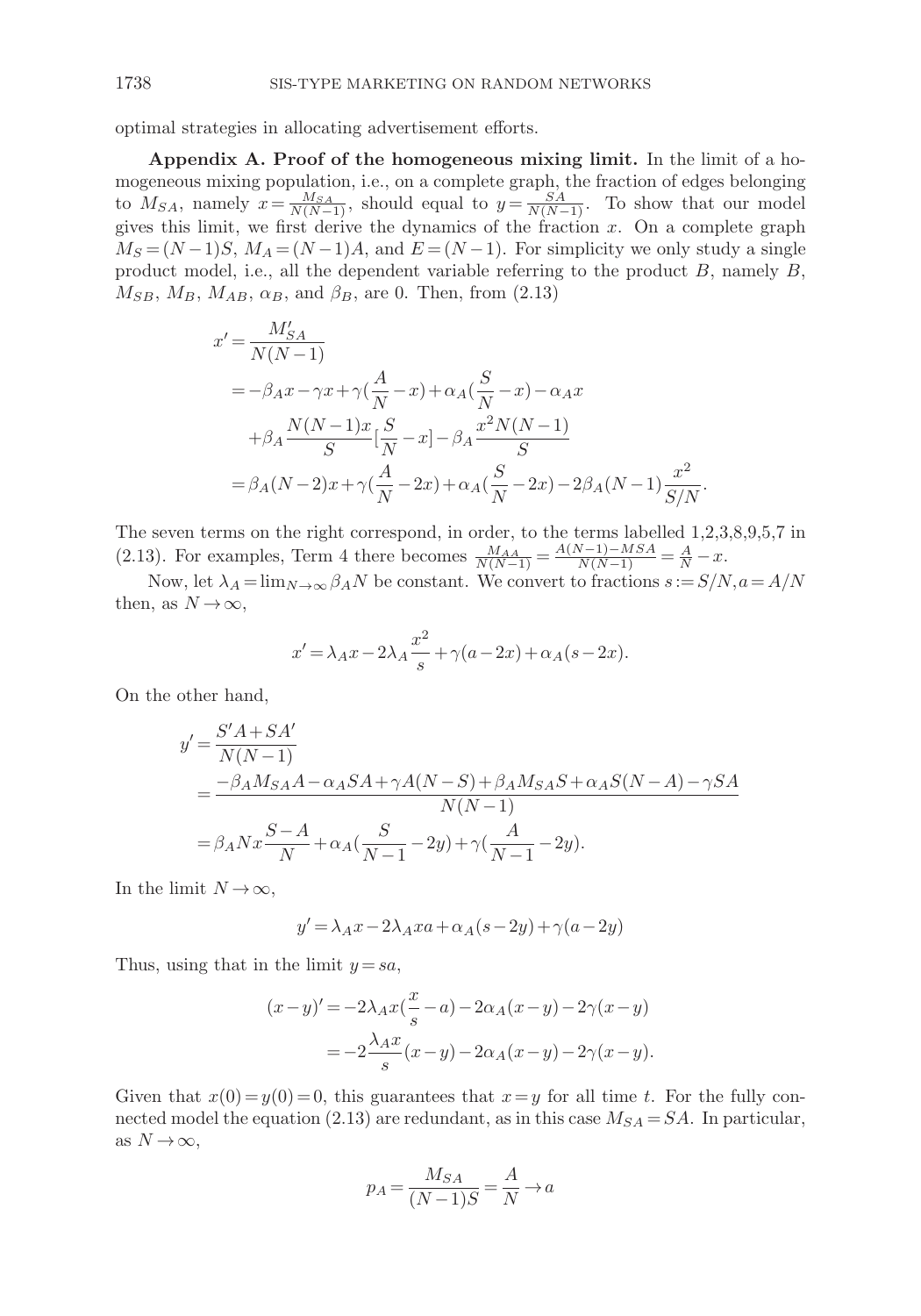optimal strategies in allocating advertisement efforts.

**Appendix A. Proof of the homogeneous mixing limit.** In the limit of a homogeneous mixing population, i.e., on a complete graph, the fraction of edges belonging to  $M_{SA}$ , namely  $x = \frac{M_{SA}}{N(N-1)}$ , should equal to  $y = \frac{SA}{N(N-1)}$ . To show that our model gives this limit, we first derive the dynamics of the fraction  $x$ . On a complete graph  $M<sub>S</sub> = (N-1)S$ ,  $M<sub>A</sub> = (N-1)A$ , and  $E = (N-1)$ . For simplicity we only study a single product model, i.e., all the dependent variable referring to the product  $B$ , namely  $B$ ,  $M_{SB}, M_B, M_{AB}, \alpha_B, \text{ and } \beta_B, \text{ are } 0. \text{ Then, from } (2.13)$ 

$$
x' = \frac{M'_{SA}}{N(N-1)}
$$
  
= -\beta\_A x - \gamma x + \gamma(\frac{A}{N} - x) + \alpha\_A(\frac{S}{N} - x) - \alpha\_A x  
+ \beta\_A \frac{N(N-1)x}{S} [\frac{S}{N} - x] - \beta\_A \frac{x^2 N(N-1)}{S}  
= \beta\_A (N-2)x + \gamma(\frac{A}{N} - 2x) + \alpha\_A (\frac{S}{N} - 2x) - 2\beta\_A (N-1) \frac{x^2}{S/N}.

The seven terms on the right correspond, in order, to the terms labelled 1,2,3,8,9,5,7 in (2.13). For examples, Term 4 there becomes  $\frac{M_{AA}}{N(N-1)} = \frac{A(N-1) - MSA}{N(N-1)} = \frac{A}{N} - x$ .

Now, let  $\lambda_A = \lim_{N \to \infty} \beta_A N$  be constant. We convert to fractions  $s := S/N, a = A/N$ then, as  $N \to \infty$ ,

$$
x' = \lambda_A x - 2\lambda_A \frac{x^2}{s} + \gamma(a-2x) + \alpha_A(s-2x).
$$

On the other hand,

$$
y' = \frac{S'A + SA'}{N(N-1)}
$$
  
= 
$$
\frac{-\beta_A M_{SA}A - \alpha_A SA + \gamma A(N-S) + \beta_A M_{SA}S + \alpha_A S(N-A) - \gamma SA}{N(N-1)}
$$
  
= 
$$
\beta_A N x \frac{S-A}{N} + \alpha_A (\frac{S}{N-1} - 2y) + \gamma (\frac{A}{N-1} - 2y).
$$

In the limit  $N \to \infty$ ,

$$
y' \!=\! \lambda_A x \!-\! 2 \lambda_A x a \!+\! \alpha_A (s \!-\! 2y) \!+\! \gamma (a \!-\! 2y)
$$

Thus, using that in the limit  $y = sa$ ,

$$
(x-y)' = -2\lambda_A x \left(\frac{x}{s} - a\right) - 2\alpha_A (x-y) - 2\gamma (x-y)
$$

$$
= -2\frac{\lambda_A x}{s} (x-y) - 2\alpha_A (x-y) - 2\gamma (x-y).
$$

Given that  $x(0) = y(0) = 0$ , this guarantees that  $x = y$  for all time t. For the fully connected model the equation (2.13) are redundant, as in this case  $M_{SA} = SA$ . In particular, as  $N \to \infty$ ,

$$
p_A = \frac{M_{SA}}{(N-1)S} = \frac{A}{N} \rightarrow a
$$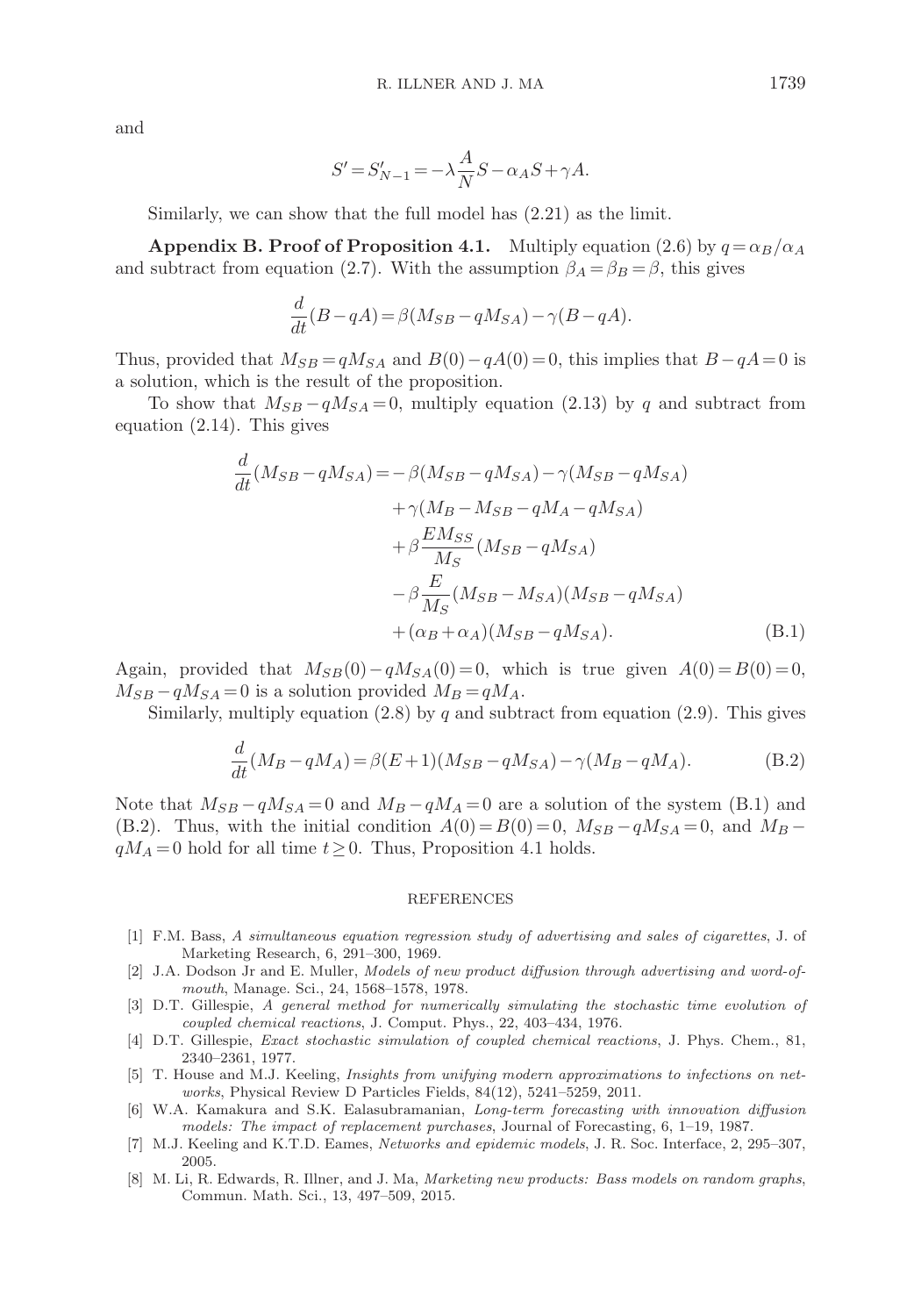and

$$
S'=S_{N-1}'=-\lambda\frac{A}{N}S-\alpha_AS+\gamma A.
$$

Similarly, we can show that the full model has (2.21) as the limit.

**Appendix B. Proof of Proposition 4.1.** Multiply equation (2.6) by  $q = \alpha_B/\alpha_A$ and subtract from equation (2.7). With the assumption  $\beta_A = \beta_B = \beta$ , this gives

$$
\frac{d}{dt}(B-qA) = \beta(M_{SB}-qM_{SA}) - \gamma(B-qA).
$$

Thus, provided that  $M_{SB} = qM_{SA}$  and  $B(0) - qA(0) = 0$ , this implies that  $B - qA = 0$  is a solution, which is the result of the proposition.

To show that  $M_{SB}-qM_{SA}=0$ , multiply equation (2.13) by q and subtract from equation (2.14). This gives

$$
\frac{d}{dt}(M_{SB} - qM_{SA}) = -\beta(M_{SB} - qM_{SA}) - \gamma(M_{SB} - qM_{SA})
$$

$$
+ \gamma(M_B - M_{SB} - qM_A - qM_{SA})
$$

$$
+ \beta \frac{EM_{SS}}{M_S}(M_{SB} - qM_{SA})
$$

$$
- \beta \frac{E}{M_S}(M_{SB} - M_{SA})(M_{SB} - qM_{SA})
$$

$$
+ (\alpha_B + \alpha_A)(M_{SB} - qM_{SA}). \tag{B.1}
$$

Again, provided that  $M_{SB}(0)-qM_{SA}(0)=0$ , which is true given  $A(0)=B(0)=0$ ,  $M_{SB}-qM_{SA}=0$  is a solution provided  $M_B=qM_A$ .

Similarly, multiply equation  $(2.8)$  by q and subtract from equation  $(2.9)$ . This gives

$$
\frac{d}{dt}(M_B - qM_A) = \beta(E+1)(M_{SB} - qM_{SA}) - \gamma(M_B - qM_A). \tag{B.2}
$$

Note that  $M_{SB} - qM_{SA} = 0$  and  $M_B - qM_A = 0$  are a solution of the system (B.1) and (B.2). Thus, with the initial condition  $A(0) = B(0) = 0$ ,  $M_{SB} - qM_{SA} = 0$ , and  $M_B$  $qM_A = 0$  hold for all time  $t \geq 0$ . Thus, Proposition 4.1 holds.

#### REFERENCES

- [1] F.M. Bass, A simultaneous equation regression study of advertising and sales of cigarettes, J. of Marketing Research, 6, 291–300, 1969.
- [2] J.A. Dodson Jr and E. Muller, Models of new product diffusion through advertising and word-ofmouth, Manage. Sci., 24, 1568–1578, 1978.
- [3] D.T. Gillespie, A general method for numerically simulating the stochastic time evolution of coupled chemical reactions, J. Comput. Phys., 22, 403–434, 1976.
- [4] D.T. Gillespie, Exact stochastic simulation of coupled chemical reactions, J. Phys. Chem., 81, 2340–2361, 1977.
- [5] T. House and M.J. Keeling, Insights from unifying modern approximations to infections on networks, Physical Review D Particles Fields, 84(12), 5241–5259, 2011.
- [6] W.A. Kamakura and S.K. Ealasubramanian, Long-term forecasting with innovation diffusion models: The impact of replacement purchases, Journal of Forecasting, 6, 1–19, 1987.
- [7] M.J. Keeling and K.T.D. Eames, Networks and epidemic models, J. R. Soc. Interface, 2, 295–307, 2005.
- [8] M. Li, R. Edwards, R. Illner, and J. Ma, Marketing new products: Bass models on random graphs, Commun. Math. Sci., 13, 497–509, 2015.